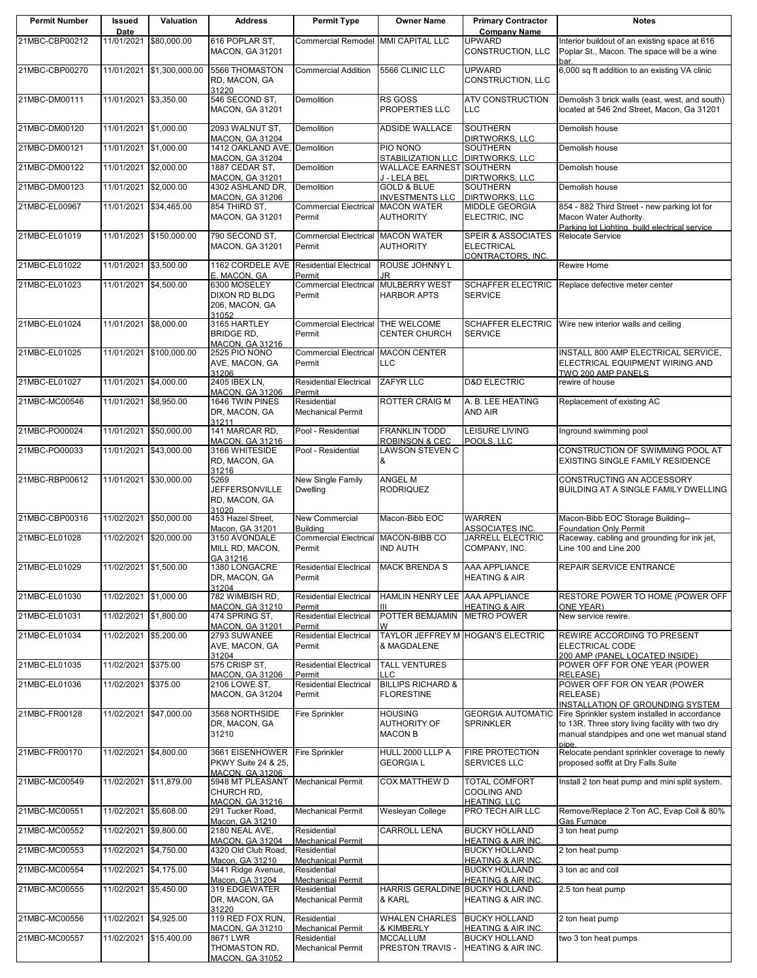| <b>Permit Number</b> | Issued<br>Date        | Valuation                 | <b>Address</b>                                                    | <b>Permit Type</b>                                                  | <b>Owner Name</b>                                        | <b>Primary Contractor</b><br><b>Company Name</b>                | <b>Notes</b>                                                                                                                                                                        |
|----------------------|-----------------------|---------------------------|-------------------------------------------------------------------|---------------------------------------------------------------------|----------------------------------------------------------|-----------------------------------------------------------------|-------------------------------------------------------------------------------------------------------------------------------------------------------------------------------------|
| 21MBC-CBP00212       |                       | 11/01/2021 \$80,000.00    | 616 POPLAR ST.<br><b>MACON, GA 31201</b>                          | Commercial Remodel MMI CAPITAL LLC                                  |                                                          | <b>UPWARD</b><br>CONSTRUCTION, LLC                              | Interior buildout of an existing space at 616<br>Poplar St., Macon. The space will be a wine                                                                                        |
| 21MBC-CBP00270       |                       | 11/01/2021 \$1,300,000.00 | 5566 THOMASTON<br>RD, MACON, GA<br>31220                          | <b>Commercial Addition</b>                                          | 5566 CLINIC LLC                                          | <b>UPWARD</b><br>CONSTRUCTION, LLC                              | bar.<br>6,000 sq ft addition to an existing VA clinic                                                                                                                               |
| 21MBC-DM00111        | 11/01/2021 \$3,350.00 |                           | 546 SECOND ST,<br><b>MACON, GA 31201</b>                          | Demolition                                                          | <b>RS GOSS</b><br>PROPERTIES LLC                         | <b>ATV CONSTRUCTION</b><br><b>LLC</b>                           | Demolish 3 brick walls (east, west, and south)<br>located at 546 2nd Street, Macon, Ga 31201                                                                                        |
| 21MBC-DM00120        | 11/01/2021 \$1,000.00 |                           | 2093 WALNUT ST,<br><b>MACON, GA 31204</b>                         | Demolition                                                          | <b>ADSIDE WALLACE</b>                                    | <b>SOUTHERN</b><br>DIRTWORKS, LLC                               | Demolish house                                                                                                                                                                      |
| 21MBC-DM00121        | 11/01/2021            | \$1,000.00                | 1412 OAKLAND AVE, Demolition<br><b>MACON, GA 31204</b>            |                                                                     | PIO NONO<br><b>STABILIZATION LLC</b>                     | <b>SOUTHERN</b><br><b>DIRTWORKS, LLC</b>                        | Demolish house                                                                                                                                                                      |
| 21MBC-DM00122        | 11/01/2021            | \$2,000.00                | 1887 CEDAR ST,<br>MACON, GA 31201                                 | Demolition                                                          | WALLACE EARNEST SOUTHERN<br>J - LELA BEL                 | DIRTWORKS, LLC                                                  | Demolish house                                                                                                                                                                      |
| 21MBC-DM00123        | 11/01/2021            | \$2,000.00                | 4302 ASHLAND DR,                                                  | <b>Demolition</b>                                                   | <b>GOLD &amp; BLUE</b><br><b>INVESTMENTS LLC</b>         | SOUTHERN                                                        | Demolish house                                                                                                                                                                      |
| 21MBC-EL00967        |                       | 11/01/2021 \$34,465.00    | <b>MACON, GA 31206</b><br>854 THIRD ST,<br><b>MACON, GA 31201</b> | <b>Commercial Electrical</b><br>Permit                              | <b>MACON WATER</b><br><b>AUTHORITY</b>                   | <b>DIRTWORKS, LLC</b><br><b>MIDDLE GEORGIA</b><br>ELECTRIC, INC | 854 - 882 Third Street - new parking lot for<br>Macon Water Authority.                                                                                                              |
| 21MBC-EL01019        | 11/01/2021            | \$150,000.00              | 790 SECOND ST,<br><b>MACON, GA 31201</b>                          | <b>Commercial Electrical</b><br>Permit                              | <b>MACON WATER</b><br><b>AUTHORITY</b>                   | SPEIR & ASSOCIATES<br><b>ELECTRICAL</b><br>CONTRACTORS, INC.    | Parking lot Lighting, build electrical service<br>Relocate Service                                                                                                                  |
| 21MBC-EL01022        | 11/01/2021            | \$3,500.00                | 1162 CORDELE AVE<br>E, MACON, GA                                  | <b>Residential Electrical</b><br>Permit                             | <b>ROUSE JOHNNY L</b><br>JR                              |                                                                 | Rewire Home                                                                                                                                                                         |
| 21MBC-EL01023        | 11/01/2021            | \$4,500.00                | 6300 MOSELEY<br><b>DIXON RD BLDG</b><br>206, MACON, GA<br>31052   | <b>Commercial Electrical</b><br>Permit                              | <b>MULBERRY WEST</b><br><b>HARBOR APTS</b>               | <b>SCHAFFER ELECTRIC</b><br><b>SERVICE</b>                      | Replace defective meter center                                                                                                                                                      |
| 21MBC-EL01024        | 11/01/2021 \$8.000.00 |                           | 3165 HARTLEY<br><b>BRIDGE RD,</b><br><b>MACON, GA 31216</b>       | <b>Commercial Electrical</b><br>Permit                              | THE WELCOME<br><b>CENTER CHURCH</b>                      | <b>SCHAFFER ELECTRIC</b><br><b>SERVICE</b>                      | Wire new interior walls and ceiling                                                                                                                                                 |
| 21MBC-EL01025        |                       | 11/01/2021 \$100,000.00   | 2525 PIO NONO<br>AVE, MACON, GA<br>31206                          | <b>Commercial Electrical</b><br>Permit                              | <b>MACON CENTER</b><br>LLC.                              |                                                                 | INSTALL 800 AMP ELECTRICAL SERVICE,<br>ELECTRICAL EQUIPMENT WIRING AND<br>TWO 200 AMP PANELS                                                                                        |
| 21MBC-EL01027        | 11/01/2021 \$4,000.00 |                           | 2405 IBEX LN,<br><b>MACON, GA 31206</b>                           | <b>Residential Electrical</b><br>Permit                             | ZAFYR LLC                                                | <b>D&amp;D ELECTRIC</b>                                         | rewire of house                                                                                                                                                                     |
| 21MBC-MC00546        | 11/01/2021            | \$8,950.00                | 1646 TWIN PINES<br>DR, MACON, GA<br>31211                         | Residential<br><b>Mechanical Permit</b>                             | ROTTER CRAIG M                                           | A. B. LEE HEATING<br>AND AIR                                    | Replacement of existing AC                                                                                                                                                          |
| 21MBC-PO00024        | 11/01/2021            | \$50,000.00               | 141 MARCAR RD,<br>MACON, GA 31216                                 | Pool - Residential                                                  | <b>FRANKLIN TODD</b><br><b>ROBINSON &amp; CEC</b>        | LEISURE LIVING<br>POOLS, LLC                                    | Inground swimming pool                                                                                                                                                              |
| 21MBC-PO00033        | 11/01/2021            | \$43,000.00               | 3166 WHITESIDE<br>RD, MACON, GA<br>31216                          | Pool - Residential                                                  | LAWSON STEVEN C<br>&                                     |                                                                 | CONSTRUCTION OF SWIMMING POOL AT<br>EXISTING SINGLE FAMILY RESIDENCE                                                                                                                |
| 21MBC-RBP00612       | 11/01/2021            | \$30,000.00               | 5269<br>JEFFERSONVILLE<br>RD, MACON, GA<br>31020                  | New Single Family<br><b>Dwelling</b>                                | ANGEL M<br><b>RODRIQUEZ</b>                              |                                                                 | CONSTRUCTING AN ACCESSORY<br>BUILDING AT A SINGLE FAMILY DWELLING                                                                                                                   |
| 21MBC-CBP00316       | 11/02/2021            | \$50,000.00               | 453 Hazel Street,<br>Macon, GA 31201                              | New Commercial<br><b>Building</b>                                   | Macon-Bibb EOC                                           | <b>WARREN</b><br>ASSOCIATES INC.                                | Macon-Bibb EOC Storage Building--<br><b>Foundation Only Permit</b>                                                                                                                  |
| 21MBC-EL01028        | 11/02/2021            | \$20,000.00               | 3150 AVONDALE<br>MILL RD, MACON,                                  | Commercial Electrical MACON-BIBB CO<br>Permit                       | <b>IND AUTH</b>                                          | <b>JARRELL ELECTRIC</b><br>COMPANY, INC.                        | Raceway, cabling and grounding for ink jet,<br>Line 100 and Line 200                                                                                                                |
| 21MBC-EL01029        | 11/02/2021 \$1,500.00 |                           | GA 31216<br>1380 LONGACRE<br>DR, MACON, GA                        | Residential Electrical MACK BRENDA S<br>Permit                      |                                                          | AAA APPLIANCE<br><b>HEATING &amp; AIR</b>                       | <b>REPAIR SERVICE ENTRANCE</b>                                                                                                                                                      |
| 21MBC-EL01030        | 11/02/2021 \$1,000.00 |                           | 31204<br>782 WIMBISH RD,                                          | <b>Residential Electrical</b>                                       | HAMLIN HENRY LEE AAA APPLIANCE                           |                                                                 | RESTORE POWER TO HOME (POWER OFF                                                                                                                                                    |
| 21MBC-EL01031        | 11/02/2021            | \$1,800.00                | <b>MACON, GA 31210</b><br>474 SPRING ST,                          | Permit<br><b>Residential Electrical</b>                             | POTTER BEMJAMIN                                          | <b>HEATING &amp; AIR</b><br><b>METRO POWER</b>                  | ONE YEAR)<br>New service rewire.                                                                                                                                                    |
| 21MBC-EL01034        | 11/02/2021            | \$5,200.00                | <b>MACON, GA 31201</b><br>2793 SUWANEE<br>AVE, MACON, GA          | Permit<br><b>Residential Electrical</b><br>Permit                   | w<br>TAYLOR JEFFREY M<br>& MAGDALENE                     | <b>HOGAN'S ELECTRIC</b>                                         | REWIRE ACCORDING TO PRESENT<br>ELECTRICAL CODE                                                                                                                                      |
| 21MBC-EL01035        | 11/02/2021            | \$375.00                  | 31204<br>575 CRISP ST.                                            | <b>Residential Electrical</b>                                       | <b>TALL VENTURES</b>                                     |                                                                 | 200 AMP (PANEL LOCATED INSIDE)<br>POWER OFF FOR ONE YEAR (POWER                                                                                                                     |
| 21MBC-EL01036        | 11/02/2021 \$375.00   |                           | <b>MACON, GA 31206</b><br>2106 LOWE ST,<br><b>MACON, GA 31204</b> | Permit<br><b>Residential Electrical</b><br>Permit                   | LLC<br><b>BILLIPS RICHARD &amp;</b><br><b>FLORESTINE</b> |                                                                 | RELEASE)<br>POWER OFF FOR ON YEAR (POWER<br><b>RELEASE)</b>                                                                                                                         |
| 21MBC-FR00128        |                       | 11/02/2021 \$47,000.00    | 3568 NORTHSIDE<br>DR, MACON, GA<br>31210                          | <b>Fire Sprinkler</b>                                               | <b>HOUSING</b><br><b>AUTHORITY OF</b><br><b>MACON B</b>  | <b>GEORGIA AUTOMATIC</b><br><b>SPRINKLER</b>                    | INSTALLATION OF GROUNDING SYSTEM<br>Fire Sprinkler system installed in accordance<br>to 13R. Three story living facility with two dry<br>manual standpipes and one wet manual stand |
| 21MBC-FR00170        | 11/02/2021 \$4,800.00 |                           | 3661 EISENHOWER<br>PKWY Suite 24 & 25,                            | <b>Fire Sprinkler</b>                                               | HULL 2000 LLLP A<br><b>GEORGIA L</b>                     | <b>FIRE PROTECTION</b><br><b>SERVICES LLC</b>                   | pipe.<br>Relocate pendant sprinkler coverage to newly<br>proposed soffit at Dry Falls Suite                                                                                         |
| 21MBC-MC00549        |                       | 11/02/2021 \$11,879.00    | <b>MACON, GA 31206</b><br>5948 MT PLEASANT<br>CHURCH RD.          | <b>Mechanical Permit</b>                                            | COX MATTHEW D                                            | <b>TOTAL COMFORT</b><br><b>COOLING AND</b>                      | Install 2 ton heat pump and mini split system.                                                                                                                                      |
| 21MBC-MC00551        | 11/02/2021 \$5,608.00 |                           | <b>MACON, GA 31216</b><br>291 Tucker Road,                        | <b>Mechanical Permit</b>                                            | Wesleyan College                                         | <b>HEATING, LLC</b><br>PRO TECH AIR LLC                         | Remove/Replace 2 Ton AC, Evap Coil & 80%                                                                                                                                            |
| 21MBC-MC00552        | 11/02/2021 \$9,800.00 |                           | Macon, GA 31210<br>2180 NEAL AVE,                                 | Residential                                                         | CARROLL LENA                                             | <b>BUCKY HOLLAND</b>                                            | Gas Furnace<br>3 ton heat pump                                                                                                                                                      |
| 21MBC-MC00553        | 11/02/2021            | \$4,750.00                | MACON, GA 31204<br>4320 Old Club Road,                            | <b>Mechanical Permit</b><br>Residential                             |                                                          | <b>HEATING &amp; AIR INC.</b><br><b>BUCKY HOLLAND</b>           | 2 ton heat pump                                                                                                                                                                     |
| 21MBC-MC00554        | 11/02/2021            | \$4,175.00                | Macon, GA 31210<br>3441 Ridge Avenue,                             | <b>Mechanical Permit</b><br>Residential                             |                                                          | HEATING & AIR INC.<br><b>BUCKY HOLLAND</b>                      | 3 ton ac and coil                                                                                                                                                                   |
| 21MBC-MC00555        | 11/02/2021 \$5,450.00 |                           | Macon, GA 31204<br>319 EDGEWATER<br>DR, MACON, GA                 | <b>Mechanical Permit</b><br>Residential<br><b>Mechanical Permit</b> | HARRIS GERALDINE BUCKY HOLLAND<br>& KARL                 | <b>HEATING &amp; AIR INC.</b><br>HEATING & AIR INC.             | 2.5 ton heat pump                                                                                                                                                                   |
| 21MBC-MC00556        | 11/02/2021            | \$4,925.00                | 31220<br>119 RED FOX RUN,                                         | Residential                                                         | <b>WHALEN CHARLES</b>                                    | <b>BUCKY HOLLAND</b>                                            | 2 ton heat pump                                                                                                                                                                     |
| 21MBC-MC00557        | 11/02/2021            | \$15,400.00               | <b>MACON, GA 31210</b><br>8671 LWR                                | <b>Mechanical Permit</b><br>Residential                             | & KIMBERLY<br><b>MCCALLUM</b>                            | <b>HEATING &amp; AIR INC.</b><br><b>BUCKY HOLLAND</b>           | two 3 ton heat pumps                                                                                                                                                                |
|                      |                       |                           | THOMASTON RD,<br><b>MACON. GA 31052</b>                           | <b>Mechanical Permit</b>                                            | PRESTON TRAVIS -                                         | HEATING & AIR INC.                                              |                                                                                                                                                                                     |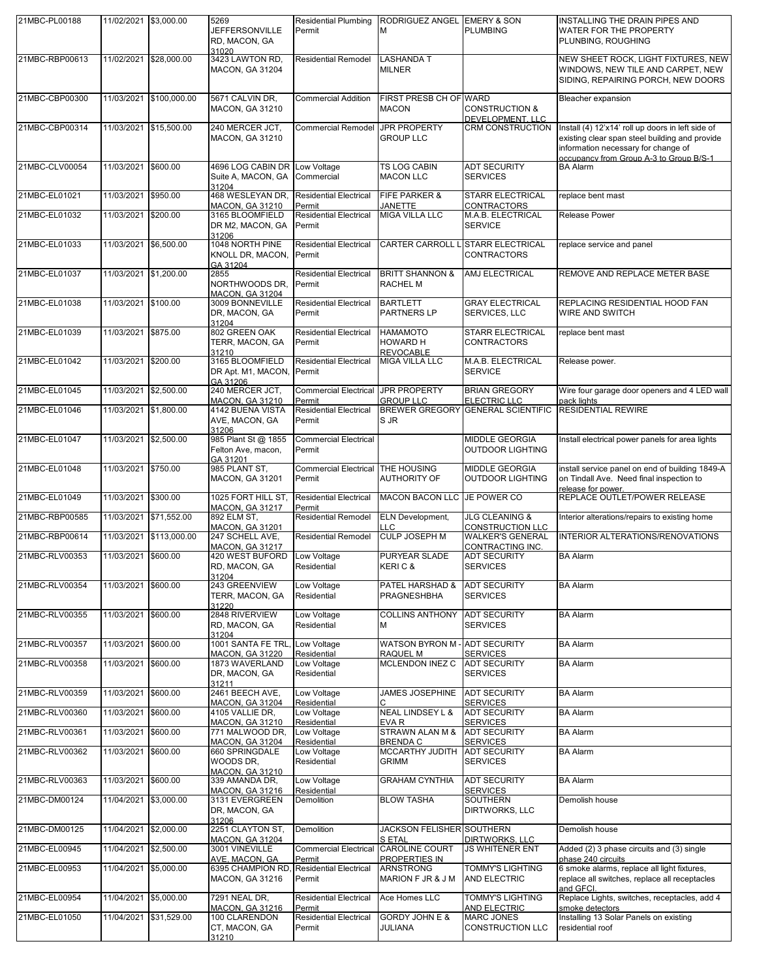| 21MBC-PL00188  | 11/02/2021 \$3,000.00 |              | 5269<br><b>JEFFERSONVILLE</b><br>RD, MACON, GA<br>31020       | <b>Residential Plumbing</b><br>Permit             | RODRIGUEZ ANGEL EMERY & SON<br>м                       | <b>PLUMBING</b>                                  | INSTALLING THE DRAIN PIPES AND<br>WATER FOR THE PROPERTY<br>PLUNBING, ROUGHING                                                                                                        |
|----------------|-----------------------|--------------|---------------------------------------------------------------|---------------------------------------------------|--------------------------------------------------------|--------------------------------------------------|---------------------------------------------------------------------------------------------------------------------------------------------------------------------------------------|
| 21MBC-RBP00613 | 11/02/2021            | \$28,000.00  | 3423 LAWTON RD,<br><b>MACON, GA 31204</b>                     | <b>Residential Remodel</b>                        | <b>LASHANDA T</b><br><b>MILNER</b>                     |                                                  | NEW SHEET ROCK, LIGHT FIXTURES, NEW<br>WINDOWS, NEW TILE AND CARPET, NEW<br>SIDING, REPAIRING PORCH, NEW DOORS                                                                        |
| 21MBC-CBP00300 | 11/03/2021            | \$100,000.00 | 5671 CALVIN DR.<br><b>MACON, GA 31210</b>                     | <b>Commercial Addition</b>                        | <b>FIRST PRESB CH OF WARD</b><br><b>MACON</b>          | <b>CONSTRUCTION &amp;</b><br>DEVELOPMENT, LLC    | Bleacher expansion                                                                                                                                                                    |
| 21MBC-CBP00314 | 11/03/2021            | \$15,500.00  | 240 MERCER JCT,<br><b>MACON, GA 31210</b>                     | Commercial Remodel JPR PROPERTY                   | <b>GROUP LLC</b>                                       | CRM CONSTRUCTION                                 | Install (4) 12'x14' roll up doors in left side of<br>existing clear span steel building and provide<br>information necessary for change of<br>occupancy from Group A-3 to Group B/S-1 |
| 21MBC-CLV00054 | 11/03/2021            | \$600.00     | 4696 LOG CABIN DR<br>Suite A, MACON, GA<br>31204              | Low Voltage<br>Commercial                         | <b>TS LOG CABIN</b><br><b>MACON LLC</b>                | <b>ADT SECURITY</b><br><b>SERVICES</b>           | <b>BA Alarm</b>                                                                                                                                                                       |
| 21MBC-EL01021  | 11/03/2021            | \$950.00     | 468 WESLEYAN DR,<br><b>MACON, GA 31210</b>                    | <b>Residential Electrical</b><br>Permit           | <b>FIFE PARKER &amp;</b><br><b>JANETTE</b>             | <b>STARR ELECTRICAL</b><br><b>CONTRACTORS</b>    | replace bent mast                                                                                                                                                                     |
| 21MBC-EL01032  | 11/03/2021            | \$200.00     | 3165 BLOOMFIELD<br>DR M2, MACON, GA<br>31206                  | <b>Residential Electrical</b><br>Permit           | <b>MIGA VILLA LLC</b>                                  | M.A.B. ELECTRICAL<br><b>SERVICE</b>              | Release Power                                                                                                                                                                         |
| 21MBC-EL01033  | 11/03/2021            | \$6,500.00   | 1048 NORTH PINE<br>KNOLL DR, MACON,<br>GA 31204               | <b>Residential Electrical</b><br>Permit           | <b>CARTER CARROLL</b>                                  | <b>STARR ELECTRICAL</b><br><b>CONTRACTORS</b>    | replace service and panel                                                                                                                                                             |
| 21MBC-EL01037  | 11/03/2021            | \$1,200.00   | 2855<br>NORTHWOODS DR.<br><b>MACON, GA 31204</b>              | <b>Residential Electrical</b><br>Permit           | <b>BRITT SHANNON &amp;</b><br><b>RACHEL M</b>          | AMJ ELECTRICAL                                   | REMOVE AND REPLACE METER BASE                                                                                                                                                         |
| 21MBC-EL01038  | 11/03/2021            | \$100.00     | 3009 BONNEVILLE<br>DR, MACON, GA<br>31204                     | <b>Residential Electrical</b><br>Permit           | <b>BARTLETT</b><br><b>PARTNERS LP</b>                  | <b>GRAY ELECTRICAL</b><br>SERVICES, LLC          | REPLACING RESIDENTIAL HOOD FAN<br>WIRE AND SWITCH                                                                                                                                     |
| 21MBC-EL01039  | 11/03/2021            | \$875.00     | 802 GREEN OAK<br>TERR, MACON, GA<br>31210                     | <b>Residential Electrical</b><br>Permit           | <b>HAMAMOTO</b><br><b>HOWARD H</b><br><b>REVOCABLE</b> | <b>STARR ELECTRICAL</b><br><b>CONTRACTORS</b>    | replace bent mast                                                                                                                                                                     |
| 21MBC-EL01042  | 11/03/2021            | \$200.00     | 3165 BLOOMFIELD<br>DR Apt. M1, MACON, Permit<br>GA 31206      | <b>Residential Electrical</b>                     | <b>MIGA VILLA LLC</b>                                  | M.A.B. ELECTRICAL<br><b>SERVICE</b>              | Release power.                                                                                                                                                                        |
| 21MBC-EL01045  | 11/03/2021            | \$2,500.00   | 240 MERCER JCT,<br>MACON, GA 31210                            | <b>Commercial Electrical</b><br>Permit            | <b>JPR PROPERTY</b><br><b>GROUP LLC</b>                | <b>BRIAN GREGORY</b><br>ELECTRIC LLC             | Wire four garage door openers and 4 LED wall<br>pack lights                                                                                                                           |
| 21MBC-EL01046  | 11/03/2021            | \$1,800.00   | 4142 BUENA VISTA<br>AVE, MACON, GA<br>31206                   | <b>Residential Electrical</b><br>Permit           | <b>BREWER GREGORY</b><br>S JR                          | <b>GENERAL SCIENTIFIC</b>                        | <b>RESIDENTIAL REWIRE</b>                                                                                                                                                             |
| 21MBC-EL01047  | 11/03/2021            | \$2,500.00   | 985 Plant St @ 1855<br>Felton Ave, macon,<br>GA 31201         | <b>Commercial Electrical</b><br>Permit            |                                                        | <b>MIDDLE GEORGIA</b><br><b>OUTDOOR LIGHTING</b> | Install electrical power panels for area lights                                                                                                                                       |
| 21MBC-EL01048  | 11/03/2021            | \$750.00     | 985 PLANT ST.<br><b>MACON, GA 31201</b>                       | Commercial Electrical THE HOUSING<br>Permit       | <b>AUTHORITY OF</b>                                    | <b>MIDDLE GEORGIA</b><br><b>OUTDOOR LIGHTING</b> | install service panel on end of building 1849-A<br>on Tindall Ave. Need final inspection to<br>release for power.                                                                     |
| 21MBC-EL01049  | 11/03/2021            | \$300.00     | 1025 FORT HILL ST.<br><b>MACON, GA 31217</b>                  | <b>Residential Electrical</b><br>Permit           | <b>MACON BACON LLC</b>                                 | JE POWER CO                                      | REPLACE OUTLET/POWER RELEASE                                                                                                                                                          |
| 21MBC-RBP00585 | 11/03/2021            | \$71,552.00  | 892 ELM ST,<br><b>MACON, GA 31201</b>                         | <b>Residential Remodel</b>                        | <b>ELN Development,</b><br><b>LLC</b>                  | <b>JLG CLEANING &amp;</b><br>CONSTRUCTION LLC    | Interior alterations/repairs to existing home                                                                                                                                         |
| 21MBC-RBP00614 | 11/03/2021            | \$113,000.00 | 247 SCHELL AVE,<br><b>MACON, GA 31217</b>                     | <b>Residential Remodel</b>                        | <b>CULP JOSEPH M</b>                                   | <b>WALKER'S GENERAL</b><br>CONTRACTING INC.      | <b>INTERIOR ALTERATIONS/RENOVATIONS</b>                                                                                                                                               |
| 21MBC-RLV00353 | 11/03/2021            | \$600.00     | 420 WEST BUFORD<br>RD, MACON, GA<br>31204                     | Low Voltage<br>Residential                        | <b>PURYEAR SLADE</b><br>KERIC&                         | <b>ADT SECURITY</b><br><b>SERVICES</b>           | <b>BA Alarm</b>                                                                                                                                                                       |
| 21MBC-RLV00354 | 11/03/2021            | \$600.00     | 243 GREENVIEW<br>TERR, MACON, GA<br>31220                     | Low Voltage<br>Residential                        | PATEL HARSHAD &<br><b>PRAGNESHBHA</b>                  | <b>ADT SECURITY</b><br><b>SERVICES</b>           | <b>BA Alarm</b>                                                                                                                                                                       |
| 21MBC-RLV00355 | 11/03/2021            | \$600.00     | 2848 RIVERVIEW<br>RD, MACON, GA<br>31204                      | Low Voltage<br>Residential                        | <b>COLLINS ANTHONY</b><br>M                            | <b>ADT SECURITY</b><br><b>SERVICES</b>           | <b>BA Alarm</b>                                                                                                                                                                       |
| 21MBC-RLV00357 | 11/03/2021            | \$600.00     | 1001 SANTA FE TRL<br><b>MACON, GA 31220</b>                   | Low Voltage<br>Residential                        | <b>WATSON BYRON M</b><br><b>RAQUEL M</b>               | <b>ADT SECURITY</b><br><b>SERVICES</b>           | <b>BA Alarm</b>                                                                                                                                                                       |
| 21MBC-RLV00358 | 11/03/2021            | \$600.00     | 1873 WAVERLAND<br>DR, MACON, GA<br>31211                      | Low Voltage<br>Residential                        | MCLENDON INEZ C                                        | ADT SECURITY<br><b>SERVICES</b>                  | <b>BA Alarm</b>                                                                                                                                                                       |
| 21MBC-RLV00359 | 11/03/2021            | \$600.00     | 2461 BEECH AVE,<br><b>MACON, GA 31204</b>                     | Low Voltage<br>Residential                        | <b>JAMES JOSEPHINE</b>                                 | <b>ADT SECURITY</b><br><b>SERVICES</b>           | <b>BA Alarm</b>                                                                                                                                                                       |
| 21MBC-RLV00360 | 11/03/2021            | \$600.00     | 4105 VALLIE DR,<br><b>MACON, GA 31210</b>                     | Low Voltage<br>Residential                        | <b>NEAL LINDSEY L &amp;</b><br>EVA <sub>R</sub>        | <b>ADT SECURITY</b><br><b>SERVICES</b>           | <b>BA Alarm</b>                                                                                                                                                                       |
| 21MBC-RLV00361 | 11/03/2021            | \$600.00     | 771 MALWOOD DR,<br><b>MACON, GA 31204</b>                     | Low Voltage<br>Residential                        | STRAWN ALAN M &<br><b>BRENDA C</b>                     | <b>ADT SECURITY</b><br><b>SERVICES</b>           | <b>BA Alarm</b>                                                                                                                                                                       |
| 21MBC-RLV00362 | 11/03/2021            | \$600.00     | 660 SPRINGDALE<br>WOODS DR.<br><b>MACON, GA 31210</b>         | Low Voltage<br>Residential                        | MCCARTHY JUDITH<br><b>GRIMM</b>                        | <b>ADT SECURITY</b><br><b>SERVICES</b>           | <b>BA Alarm</b>                                                                                                                                                                       |
| 21MBC-RLV00363 | 11/03/2021            | \$600.00     | 339 AMANDA DR,                                                | Low Voltage                                       | <b>GRAHAM CYNTHIA</b>                                  | <b>ADT SECURITY</b>                              | <b>BA Alarm</b>                                                                                                                                                                       |
| 21MBC-DM00124  | 11/04/2021            | \$3,000.00   | <b>MACON, GA 31216</b><br>3131 EVERGREEN<br>DR, MACON, GA     | Residential<br>Demolition                         | <b>BLOW TASHA</b>                                      | <b>SERVICES</b><br>SOUTHERN<br>DIRTWORKS, LLC    | Demolish house                                                                                                                                                                        |
| 21MBC-DM00125  | 11/04/2021 \$2,000.00 |              | 31206<br>2251 CLAYTON ST.                                     | Demolition                                        | <b>JACKSON FELISHER SOUTHERN</b>                       |                                                  | Demolish house                                                                                                                                                                        |
| 21MBC-EL00945  | 11/04/2021            | \$2,500.00   | <b>MACON, GA 31204</b><br>3001 VINEVILLE                      | <b>Commercial Electrical</b>                      | <b>S ETAL</b><br><b>CAROLINE COURT</b>                 | DIRTWORKS, LLC<br><b>JS WHITENER ENT</b>         | Added (2) 3 phase circuits and (3) single                                                                                                                                             |
| 21MBC-EL00953  | 11/04/2021            | \$5,000.00   | AVE, MACON, GA<br>6395 CHAMPION RD,<br><b>MACON, GA 31216</b> | Permit<br><b>Residential Electrical</b><br>Permit | PROPERTIES IN<br><b>ARNSTRONG</b><br>MARION F JR & J M | TOMMY'S LIGHTING<br>AND ELECTRIC                 | phase 240 circuits<br>6 smoke alarms, replace all light fixtures,<br>replace all switches, replace all receptacles                                                                    |
| 21MBC-EL00954  | 11/04/2021            | \$5,000.00   | 7291 NEAL DR,                                                 | <b>Residential Electrical</b>                     | Ace Homes LLC                                          | TOMMY'S LIGHTING                                 | and GFCI.<br>Replace Lights, switches, receptacles, add 4                                                                                                                             |
| 21MBC-EL01050  | 11/04/2021            | \$31,529.00  | MACON, GA 31216<br>100 CLARENDON                              | Permit<br><b>Residential Electrical</b>           | <b>GORDY JOHN E &amp;</b>                              | AND ELECTRIC<br>MARC JONES                       | smoke detectors<br>Installing 13 Solar Panels on existing                                                                                                                             |
|                |                       |              | CT, MACON, GA<br>31210                                        | Permit                                            | JULIANA                                                | CONSTRUCTION LLC                                 | residential roof                                                                                                                                                                      |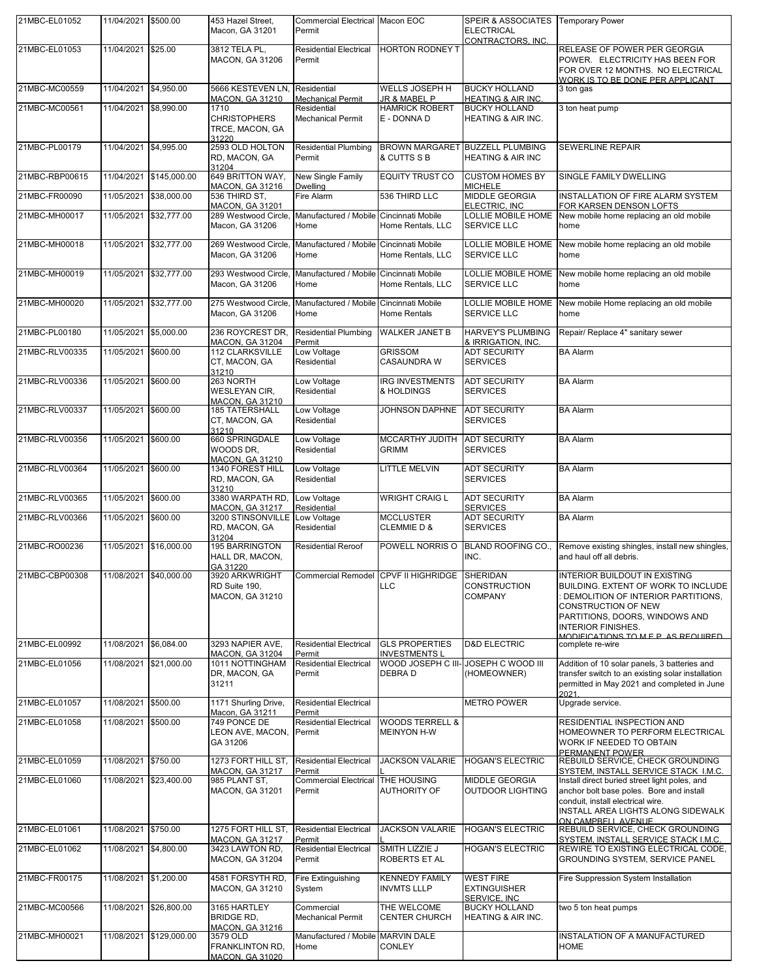| 21MBC-EL01052  | 11/04/2021 \$500.00   |                         | 453 Hazel Street.<br>Macon, GA 31201                                | Commercial Electrical Macon EOC<br>Permit         |                                                  | SPEIR & ASSOCIATES<br><b>ELECTRICAL</b><br>CONTRACTORS, INC. | <b>Temporary Power</b>                                                                                                                                                                                                                |
|----------------|-----------------------|-------------------------|---------------------------------------------------------------------|---------------------------------------------------|--------------------------------------------------|--------------------------------------------------------------|---------------------------------------------------------------------------------------------------------------------------------------------------------------------------------------------------------------------------------------|
| 21MBC-EL01053  | 11/04/2021 \$25.00    |                         | 3812 TELA PL,<br><b>MACON, GA 31206</b>                             | <b>Residential Electrical</b><br>Permit           | <b>HORTON RODNEY T</b>                           |                                                              | RELEASE OF POWER PER GEORGIA<br>POWER. ELECTRICITY HAS BEEN FOR<br>FOR OVER 12 MONTHS. NO ELECTRICAL<br>WORK IS TO BE DONE PER APPLICANT                                                                                              |
| 21MBC-MC00559  | 11/04/2021 \$4,950.00 |                         | 5666 KESTEVEN LN,<br>MACON, GA 31210                                | Residential<br><b>Mechanical Permit</b>           | WELLS JOSEPH H<br>JR & MABEL P                   | <b>BUCKY HOLLAND</b><br><b>HEATING &amp; AIR INC.</b>        | 3 ton gas                                                                                                                                                                                                                             |
| 21MBC-MC00561  | 11/04/2021 \$8,990.00 |                         | 1710<br><b>CHRISTOPHERS</b><br>TRCE, MACON, GA<br>31220             | Residential<br><b>Mechanical Permit</b>           | <b>HAMRICK ROBERT</b><br>E - DONNA D             | <b>BUCKY HOLLAND</b><br>HEATING & AIR INC.                   | 3 ton heat pump                                                                                                                                                                                                                       |
| 21MBC-PL00179  | 11/04/2021 \$4,995.00 |                         | 2593 OLD HOLTON<br>RD, MACON, GA<br>31204                           | <b>Residential Plumbing</b><br>Permit             | <b>BROWN MARGARET</b><br>& CUTTS S B             | <b>BUZZELL PLUMBING</b><br><b>HEATING &amp; AIR INC</b>      | <b>SEWERLINE REPAIR</b>                                                                                                                                                                                                               |
| 21MBC-RBP00615 |                       | 11/04/2021 \$145,000.00 | 649 BRITTON WAY,<br><b>MACON, GA 31216</b>                          | New Single Family<br><b>Dwelling</b>              | <b>EQUITY TRUST CO</b>                           | <b>CUSTOM HOMES BY</b><br><b>MICHELE</b>                     | SINGLE FAMILY DWELLING                                                                                                                                                                                                                |
| 21MBC-FR00090  | 11/05/2021            | \$38,000.00             | 536 THIRD ST,<br><b>MACON, GA 31201</b>                             | Fire Alarm                                        | 536 THIRD LLC                                    | MIDDLE GEORGIA<br>ELECTRIC, INC                              | INSTALLATION OF FIRE ALARM SYSTEM<br>FOR KARSEN DENSON LOFTS                                                                                                                                                                          |
| 21MBC-MH00017  |                       | 11/05/2021 \$32,777.00  | 289 Westwood Circle,<br>Macon, GA 31206                             | Manufactured / Mobile Cincinnati Mobile<br>Home   | Home Rentals, LLC                                | LOLLIE MOBILE HOME<br><b>SERVICE LLC</b>                     | New mobile home replacing an old mobile<br>home                                                                                                                                                                                       |
| 21MBC-MH00018  |                       | 11/05/2021 \$32,777.00  | 269 Westwood Circle,<br>Macon, GA 31206                             | Manufactured / Mobile Cincinnati Mobile<br>Home   | Home Rentals, LLC                                | LOLLIE MOBILE HOME<br><b>SERVICE LLC</b>                     | New mobile home replacing an old mobile<br>home                                                                                                                                                                                       |
| 21MBC-MH00019  |                       | 11/05/2021 \$32,777.00  | 293 Westwood Circle.<br>Macon, GA 31206                             | Manufactured / Mobile Cincinnati Mobile<br>Home   | Home Rentals, LLC                                | LOLLIE MOBILE HOME<br><b>SERVICE LLC</b>                     | New mobile home replacing an old mobile<br>home                                                                                                                                                                                       |
| 21MBC-MH00020  |                       | 11/05/2021 \$32.777.00  | 275 Westwood Circle.<br>Macon, GA 31206                             | Manufactured / Mobile Cincinnati Mobile<br>Home   | <b>Home Rentals</b>                              | LOLLIE MOBILE HOME<br>SERVICE LLC                            | New mobile Home replacing an old mobile<br>home                                                                                                                                                                                       |
| 21MBC-PL00180  | 11/05/2021 \$5,000.00 |                         | 236 ROYCREST DR.<br><b>MACON, GA 31204</b>                          | <b>Residential Plumbing</b><br>Permit             | <b>WALKER JANET B</b>                            | <b>HARVEY'S PLUMBING</b><br>& IRRIGATION, INC.               | Repair/ Replace 4" sanitary sewer                                                                                                                                                                                                     |
| 21MBC-RLV00335 | 11/05/2021            | \$600.00                | 112 CLARKSVILLE<br>CT, MACON, GA<br>31210                           | Low Voltage<br>Residential                        | <b>GRISSOM</b><br><b>CASAUNDRA W</b>             | <b>ADT SECURITY</b><br><b>SERVICES</b>                       | <b>BA Alarm</b>                                                                                                                                                                                                                       |
| 21MBC-RLV00336 | 11/05/2021            | \$600.00                | 263 NORTH<br><b>WESLEYAN CIR.</b><br>MACON, GA 31210                | Low Voltage<br>Residential                        | <b>IRG INVESTMENTS</b><br>& HOLDINGS             | <b>ADT SECURITY</b><br><b>SERVICES</b>                       | <b>BA Alarm</b>                                                                                                                                                                                                                       |
| 21MBC-RLV00337 | 11/05/2021            | \$600.00                | <b>185 TATERSHALL</b><br>CT, MACON, GA<br>31210                     | Low Voltage<br>Residential                        | JOHNSON DAPHNE                                   | <b>ADT SECURITY</b><br><b>SERVICES</b>                       | <b>BA Alarm</b>                                                                                                                                                                                                                       |
| 21MBC-RLV00356 | 11/05/2021 \$600.00   |                         | 660 SPRINGDALE<br>WOODS DR.<br><b>MACON, GA 31210</b>               | Low Voltage<br>Residential                        | <b>MCCARTHY JUDITH</b><br><b>GRIMM</b>           | <b>ADT SECURITY</b><br><b>SERVICES</b>                       | <b>BA Alarm</b>                                                                                                                                                                                                                       |
| 21MBC-RLV00364 | 11/05/2021 \$600.00   |                         | 1340 FOREST HILL<br>RD, MACON, GA<br>31210                          | Low Voltage<br>Residential                        | <b>LITTLE MELVIN</b>                             | <b>ADT SECURITY</b><br><b>SERVICES</b>                       | <b>BA Alarm</b>                                                                                                                                                                                                                       |
| 21MBC-RLV00365 | 11/05/2021            | \$600.00                | 3380 WARPATH RD,<br><b>MACON, GA 31217</b>                          | Low Voltage<br>Residential                        | <b>WRIGHT CRAIG L</b>                            | <b>ADT SECURITY</b><br><b>SERVICES</b>                       | <b>BA Alarm</b>                                                                                                                                                                                                                       |
| 21MBC-RLV00366 | 11/05/2021            | \$600.00                | 3200 STINSONVILLE<br>RD, MACON, GA<br>31204                         | Low Voltage<br>Residential                        | <b>MCCLUSTER</b><br><b>CLEMMIE D &amp;</b>       | <b>ADT SECURITY</b><br><b>SERVICES</b>                       | <b>BA Alarm</b>                                                                                                                                                                                                                       |
| 21MBC-RO00236  |                       | 11/05/2021 \$16,000.00  | <b>195 BARRINGTON</b><br>HALL DR, MACON,<br>GA 31220                | <b>Residential Reroof</b>                         | POWELL NORRIS O                                  | BLAND ROOFING CO.,<br>INC.                                   | Remove existing shingles, install new shingles,<br>and haul off all debris.                                                                                                                                                           |
| 21MBC-CBP00308 |                       | 11/08/2021 \$40,000.00  | 3920 ARKWRIGHT<br>RD Suite 190,<br>MACON, GA 31210                  | Commercial Remodel CPVF II HIGHRIDGE              | <b>LLC</b>                                       | SHERIDAN<br><b>CONSTRUCTION</b><br><b>COMPANY</b>            | INTERIOR BUILDOUT IN EXISTING<br>BUILDING. EXTENT OF WORK TO INCLUDE<br>DEMOLITION OF INTERIOR PARTITIONS,<br>CONSTRUCTION OF NEW<br>PARTITIONS, DOORS, WINDOWS AND<br><b>INTERIOR FINISHES.</b><br>MODIFICATIONS TO MEP AS REQUIRED. |
| 21MBC-EL00992  | 11/08/2021            | \$6,084.00              | 3293 NAPIER AVE,<br><b>MACON, GA 31204</b>                          | <b>Residential Electrical</b><br>Permit           | <b>GLS PROPERTIES</b><br><b>INVESTMENTS L</b>    | <b>D&amp;D ELECTRIC</b>                                      | complete re-wire                                                                                                                                                                                                                      |
| 21MBC-EL01056  |                       | 11/08/2021 \$21,000.00  | 1011 NOTTINGHAM<br>DR, MACON, GA<br>31211                           | <b>Residential Electrical</b><br>Permit           | WOOD JOSEPH C III- JOSEPH C WOOD III<br>DEBRA D  | (HOMEOWNER)                                                  | Addition of 10 solar panels, 3 batteries and<br>transfer switch to an existing solar installation<br>permitted in May 2021 and completed in June<br>2021.                                                                             |
| 21MBC-EL01057  | 11/08/2021 \$500.00   |                         | 1171 Shurling Drive,<br>Macon, GA 31211                             | <b>Residential Electrical</b><br>Permit           |                                                  | <b>METRO POWER</b>                                           | Upgrade service.                                                                                                                                                                                                                      |
| 21MBC-EL01058  | 11/08/2021            | \$500.00                | 749 PONCE DE<br>LEON AVE, MACON,<br>GA 31206                        | <b>Residential Electrical</b><br>Permit           | <b>WOODS TERRELL &amp;</b><br><b>MEINYON H-W</b> |                                                              | RESIDENTIAL INSPECTION AND<br>HOMEOWNER TO PERFORM ELECTRICAL<br>WORK IF NEEDED TO OBTAIN<br>PERMANENT POWER                                                                                                                          |
| 21MBC-EL01059  | 11/08/2021 \$750.00   |                         | 1273 FORT HILL ST,<br>MACON. GA 31217                               | <b>Residential Electrical</b><br>Permit           | <b>JACKSON VALARIE</b>                           | <b>HOGAN'S ELECTRIC</b>                                      | REBUILD SERVICE, CHECK GROUNDING<br>SYSTEM, INSTALL SERVICE STACK I.M.C.                                                                                                                                                              |
| 21MBC-EL01060  | 11/08/2021            | \$23,400.00             | 985 PLANT ST,<br><b>MACON, GA 31201</b>                             | Commercial Electrical THE HOUSING<br>Permit       | <b>AUTHORITY OF</b>                              | MIDDLE GEORGIA<br><b>OUTDOOR LIGHTING</b>                    | Install direct buried street light poles, and<br>anchor bolt base poles. Bore and install<br>conduit, install electrical wire.<br>INSTALL AREA LIGHTS ALONG SIDEWALK                                                                  |
| 21MBC-EL01061  | 11/08/2021 \$750.00   |                         | 1275 FORT HILL ST.                                                  | <b>Residential Electrical</b>                     | <b>JACKSON VALARIE</b>                           | <b>HOGAN'S ELECTRIC</b>                                      | ON CAMPBELL AVENUE<br>REBUILD SERVICE, CHECK GROUNDING                                                                                                                                                                                |
| 21MBC-EL01062  | 11/08/2021 \$4,800.00 |                         | <b>MACON, GA 31217</b><br>3423 LAWTON RD,<br><b>MACON, GA 31204</b> | Permit<br><b>Residential Electrical</b><br>Permit | SMITH LIZZIE J<br><b>ROBERTS ET AL</b>           | <b>HOGAN'S ELECTRIC</b>                                      | SYSTEM, INSTALL SERVICE STACK I.M.C.<br>REWIRE TO EXISTING ELECTRICAL CODE,<br>GROUNDING SYSTEM, SERVICE PANEL                                                                                                                        |
| 21MBC-FR00175  | 11/08/2021 \$1,200.00 |                         | 4581 FORSYTH RD,<br><b>MACON, GA 31210</b>                          | Fire Extinguishing<br>System                      | <b>KENNEDY FAMILY</b><br><b>INVMTS LLLP</b>      | <b>WEST FIRE</b><br><b>EXTINGUISHER</b><br>SERVICE, INC      | Fire Suppression System Installation                                                                                                                                                                                                  |
| 21MBC-MC00566  |                       | 11/08/2021 \$26,800.00  | 3165 HARTLEY<br><b>BRIDGE RD.</b><br><b>MACON, GA 31216</b>         | Commercial<br><b>Mechanical Permit</b>            | THE WELCOME<br><b>CENTER CHURCH</b>              | <b>BUCKY HOLLAND</b><br><b>HEATING &amp; AIR INC.</b>        | two 5 ton heat pumps                                                                                                                                                                                                                  |
| 21MBC-MH00021  | 11/08/2021            | \$129,000.00            | 3579 OLD<br>FRANKLINTON RD,<br>MACON. GA 31020                      | Manufactured / Mobile MARVIN DALE<br>Home         | <b>CONLEY</b>                                    |                                                              | INSTALATION OF A MANUFACTURED<br><b>HOME</b>                                                                                                                                                                                          |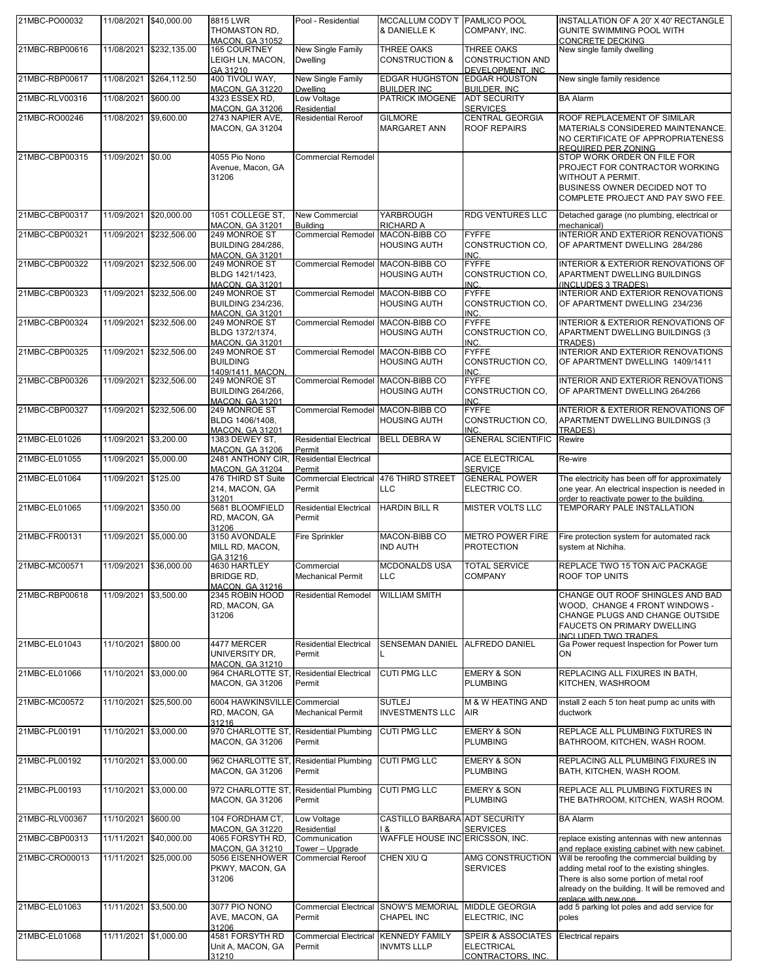| 21MBC-PO00032  |                        | 11/08/2021 \$40,000.00  | 8815 LWR<br>THOMASTON RD,<br><b>MACON, GA 31052</b>                  | Pool - Residential                            | MCCALLUM CODY T IPAMLICO POOL<br>& DANIELLE K  | COMPANY, INC.                                                           | INSTALLATION OF A 20' X 40' RECTANGLE<br><b>GUNITE SWIMMING POOL WITH</b><br><b>CONCRETE DECKING</b>                                                                                                               |
|----------------|------------------------|-------------------------|----------------------------------------------------------------------|-----------------------------------------------|------------------------------------------------|-------------------------------------------------------------------------|--------------------------------------------------------------------------------------------------------------------------------------------------------------------------------------------------------------------|
| 21MBC-RBP00616 | 11/08/2021             | \$232,135.00            | <b>165 COURTNEY</b><br>LEIGH LN, MACON,                              | New Single Family<br><b>Dwelling</b>          | <b>THREE OAKS</b><br><b>CONSTRUCTION &amp;</b> | <b>THREE OAKS</b><br><b>CONSTRUCTION AND</b>                            | New single family dwelling                                                                                                                                                                                         |
| 21MBC-RBP00617 | 11/08/2021             | \$264,112.50            | GA 31210<br>400 TIVOLI WAY,                                          | New Single Family                             | <b>EDGAR HUGHSTON</b>                          | DEVELOPMENT, INC<br><b>EDGAR HOUSTON</b>                                | New single family residence                                                                                                                                                                                        |
| 21MBC-RLV00316 | 11/08/2021             | \$600.00                | <b>MACON, GA 31220</b><br>4323 ESSEX RD,                             | <b>Dwelling</b><br>Low Voltage<br>Residential | <b>BUILDER INC</b><br>PATRICK IMOGENE          | <b>BUILDER, INC</b><br><b>ADT SECURITY</b>                              | <b>BA Alarm</b>                                                                                                                                                                                                    |
| 21MBC-RO00246  | 11/08/2021 \$9,600.00  |                         | <b>MACON, GA 31206</b><br>2743 NAPIER AVE,<br><b>MACON, GA 31204</b> | <b>Residential Reroof</b>                     | <b>GILMORE</b><br><b>MARGARET ANN</b>          | <b>SERVICES</b><br><b>CENTRAL GEORGIA</b><br><b>ROOF REPAIRS</b>        | ROOF REPLACEMENT OF SIMILAR<br>MATERIALS CONSIDERED MAINTENANCE.<br>NO CERTIFICATE OF APPROPRIATENESS<br>REQUIRED PER ZONING                                                                                       |
| 21MBC-CBP00315 | 11/09/2021 \$0.00      |                         | 4055 Pio Nono<br>Avenue, Macon, GA<br>31206                          | <b>Commercial Remodel</b>                     |                                                |                                                                         | STOP WORK ORDER ON FILE FOR<br>PROJECT FOR CONTRACTOR WORKING<br>WITHOUT A PERMIT.<br>BUSINESS OWNER DECIDED NOT TO<br>COMPLETE PROJECT AND PAY SWO FEE.                                                           |
| 21MBC-CBP00317 |                        | 11/09/2021 \$20,000.00  | 1051 COLLEGE ST,<br><b>MACON, GA 31201</b>                           | <b>New Commercial</b><br><b>Building</b>      | YARBROUGH<br><b>RICHARD A</b>                  | RDG VENTURES LLC                                                        | Detached garage (no plumbing, electrical or<br>mechanical)                                                                                                                                                         |
| 21MBC-CBP00321 |                        | 11/09/2021 \$232,506.00 | 249 MONROE ST<br><b>BUILDING 284/286,</b><br><b>MACON, GA 31201</b>  | <b>Commercial Remodel</b>                     | MACON-BIBB CO<br><b>HOUSING AUTH</b>           | <b>FYFFE</b><br>CONSTRUCTION CO.<br>INC.                                | INTERIOR AND EXTERIOR RENOVATIONS<br>OF APARTMENT DWELLING 284/286                                                                                                                                                 |
| 21MBC-CBP00322 |                        | 11/09/2021 \$232,506.00 | 249 MONROE ST<br>BLDG 1421/1423,<br><b>MACON, GA 31201</b>           | Commercial Remodel MACON-BIBB CO              | <b>HOUSING AUTH</b>                            | <b>FYFFE</b><br>CONSTRUCTION CO,<br>INC.                                | <b>INTERIOR &amp; EXTERIOR RENOVATIONS OF</b><br>APARTMENT DWELLING BUILDINGS<br>(INCLUDES 3 TRADES)                                                                                                               |
| 21MBC-CBP00323 |                        | 11/09/2021 \$232.506.00 | 249 MONROE ST<br><b>BUILDING 234/236,</b><br><b>MACON, GA 31201</b>  | <b>Commercial Remodel</b>                     | MACON-BIBB CO<br><b>HOUSING AUTH</b>           | <b>FYFFE</b><br>CONSTRUCTION CO,<br>INC.                                | INTERIOR AND EXTERIOR RENOVATIONS<br>OF APARTMENT DWELLING 234/236                                                                                                                                                 |
| 21MBC-CBP00324 |                        | 11/09/2021 \$232,506.00 | 249 MONROE ST<br>BLDG 1372/1374.<br><b>MACON, GA 31201</b>           | <b>Commercial Remodel</b>                     | MACON-BIBB CO<br><b>HOUSING AUTH</b>           | <b>FYFFE</b><br>CONSTRUCTION CO.<br><b>INC</b>                          | INTERIOR & EXTERIOR RENOVATIONS OF<br>APARTMENT DWELLING BUILDINGS (3<br>TRADES)                                                                                                                                   |
| 21MBC-CBP00325 |                        | 11/09/2021 \$232.506.00 | 249 MONROE ST<br><b>BUILDING</b><br>1409/1411, MACON                 | <b>Commercial Remodel</b>                     | MACON-BIBB CO<br><b>HOUSING AUTH</b>           | <b>FYFFE</b><br>CONSTRUCTION CO.<br>INC.                                | INTERIOR AND EXTERIOR RENOVATIONS<br>OF APARTMENT DWELLING 1409/1411                                                                                                                                               |
| 21MBC-CBP00326 |                        | 11/09/2021 \$232,506.00 | 249 MONROE ST<br><b>BUILDING 264/266.</b><br><b>MACON, GA 31201</b>  | <b>Commercial Remodel</b>                     | MACON-BIBB CO<br><b>HOUSING AUTH</b>           | <b>FYFFE</b><br>CONSTRUCTION CO,<br><b>INC</b>                          | INTERIOR AND EXTERIOR RENOVATIONS<br>OF APARTMENT DWELLING 264/266                                                                                                                                                 |
| 21MBC-CBP00327 |                        | 11/09/2021 \$232,506.00 | 249 MONROE ST<br>BLDG 1406/1408,<br><b>MACON, GA 31201</b>           | <b>Commercial Remodel</b>                     | MACON-BIBB CO<br><b>HOUSING AUTH</b>           | <b>FYFFE</b><br>CONSTRUCTION CO,<br><b>INC</b>                          | INTERIOR & EXTERIOR RENOVATIONS OF<br>APARTMENT DWELLING BUILDINGS (3<br><b>TRADES)</b>                                                                                                                            |
| 21MBC-EL01026  | 11/09/2021 \$3,200.00  |                         | 1383 DEWEY ST,<br><b>MACON, GA 31206</b>                             | <b>Residential Electrical</b><br>Permit       | <b>BELL DEBRA W</b>                            | <b>GENERAL SCIENTIFIC</b>                                               | Rewire                                                                                                                                                                                                             |
| 21MBC-EL01055  | 11/09/2021 \$5,000.00  |                         | 2481 ANTHONY CIR,<br><b>MACON, GA 31204</b>                          | <b>Residential Electrical</b><br>Permit       |                                                | <b>ACE ELECTRICAL</b><br><b>SERVICE</b>                                 | Re-wire                                                                                                                                                                                                            |
| 21MBC-EL01064  | 11/09/2021 \$125.00    |                         | 476 THIRD ST Suite<br>214, MACON, GA<br>31201                        | <b>Commercial Electrical</b><br>Permit        | 476 THIRD STREET<br><b>LLC</b>                 | <b>GENERAL POWER</b><br>ELECTRIC CO.                                    | The electricity has been off for approximately<br>one year. An electrical inspection is needed in<br>order to reactivate power to the building.                                                                    |
| 21MBC-EL01065  | 11/09/2021             | \$350.00                | 5681 BLOOMFIELD<br>RD, MACON, GA<br>31206                            | <b>Residential Electrical</b><br>Permit       | <b>HARDIN BILL R</b>                           | <b>MISTER VOLTS LLC</b>                                                 | TEMPORARY PALE INSTALLATION                                                                                                                                                                                        |
| 21MBC-FR00131  | 11/09/2021 \$5,000.00  |                         | 3150 AVONDALE<br>MILL RD. MACON.<br>GA 31216                         | <b>Fire Sprinkler</b>                         | MACON-BIBB CO<br><b>IND AUTH</b>               | <b>METRO POWER FIRE</b><br><b>PROTECTION</b>                            | Fire protection system for automated rack<br>system at Nichiha.                                                                                                                                                    |
| 21MBC-MC00571  | 11/09/2021 \$36,000.00 |                         | 4630 HARTLEY<br><b>BRIDGE RD,</b><br><b>MACON, GA 31216</b>          | Commercial<br><b>Mechanical Permit</b>        | <b>MCDONALDS USA</b><br><b>LLC</b>             | <b>TOTAL SERVICE</b><br><b>COMPANY</b>                                  | REPLACE TWO 15 TON A/C PACKAGE<br><b>ROOF TOP UNITS</b>                                                                                                                                                            |
| 21MBC-RBP00618 | 11/09/2021 \$3,500.00  |                         | 2345 ROBIN HOOD<br>RD, MACON, GA<br>31206                            | <b>Residential Remodel</b>                    | <b>WILLIAM SMITH</b>                           |                                                                         | CHANGE OUT ROOF SHINGLES AND BAD<br>WOOD, CHANGE 4 FRONT WINDOWS -<br>CHANGE PLUGS AND CHANGE OUTSIDE<br><b>FAUCETS ON PRIMARY DWELLING</b><br>INCLUDED TWO TRADES                                                 |
| 21MBC-EL01043  | 11/10/2021 \$800.00    |                         | 4477 MERCER<br>UNIVERSITY DR,<br><b>MACON, GA 31210</b>              | <b>Residential Electrical</b><br>Permit       | SENSEMAN DANIEL                                | ALFREDO DANIEL                                                          | Ga Power request Inspection for Power turn<br>ON                                                                                                                                                                   |
| 21MBC-EL01066  | 11/10/2021 \$3,000.00  |                         | 964 CHARLOTTE ST, Residential Electrical<br>MACON, GA 31206          | Permit                                        | <b>CUTI PMG LLC</b>                            | <b>EMERY &amp; SON</b><br><b>PLUMBING</b>                               | REPLACING ALL FIXURES IN BATH,<br>KITCHEN, WASHROOM                                                                                                                                                                |
| 21MBC-MC00572  |                        | 11/10/2021 \$25,500.00  | 6004 HAWKINSVILLE Commercial<br>RD, MACON, GA<br>31216               | <b>Mechanical Permit</b>                      | <b>SUTLEJ</b><br><b>INVESTMENTS LLC</b>        | M & W HEATING AND<br><b>AIR</b>                                         | install 2 each 5 ton heat pump ac units with<br>ductwork                                                                                                                                                           |
| 21MBC-PL00191  | 11/10/2021 \$3,000.00  |                         | 970 CHARLOTTE ST, Residential Plumbing<br>MACON, GA 31206            | Permit                                        | <b>CUTI PMG LLC</b>                            | <b>EMERY &amp; SON</b><br><b>PLUMBING</b>                               | REPLACE ALL PLUMBING FIXTURES IN<br>BATHROOM, KITCHEN, WASH ROOM.                                                                                                                                                  |
| 21MBC-PL00192  | 11/10/2021 \$3,000.00  |                         | 962 CHARLOTTE ST, Residential Plumbing<br>MACON, GA 31206            | Permit                                        | <b>CUTI PMG LLC</b>                            | <b>EMERY &amp; SON</b><br><b>PLUMBING</b>                               | REPLACING ALL PLUMBING FIXURES IN<br>BATH, KITCHEN, WASH ROOM.                                                                                                                                                     |
| 21MBC-PL00193  | 11/10/2021 \$3,000.00  |                         | 972 CHARLOTTE ST, Residential Plumbing<br>MACON, GA 31206            | Permit                                        | <b>CUTI PMG LLC</b>                            | <b>EMERY &amp; SON</b><br><b>PLUMBING</b>                               | REPLACE ALL PLUMBING FIXTURES IN<br>THE BATHROOM, KITCHEN, WASH ROOM.                                                                                                                                              |
| 21MBC-RLV00367 | 11/10/2021 \$600.00    |                         | 104 FORDHAM CT,<br>MACON, GA 31220                                   | Low Voltage<br>Residential                    | CASTILLO BARBARA ADT SECURITY<br>। &           | <b>SERVICES</b>                                                         | <b>BA Alarm</b>                                                                                                                                                                                                    |
| 21MBC-CBP00313 |                        | 11/11/2021 \$40,000.00  | 4065 FORSYTH RD,<br><b>MACON, GA 31210</b>                           | Communication<br>Tower – Upgrade              | WAFFLE HOUSE INC ERICSSON, INC.                |                                                                         | replace existing antennas with new antennas<br>and replace existing cabinet with new cabinet.                                                                                                                      |
| 21MBC-CRO00013 |                        | 11/11/2021 \$25,000.00  | 5056 EISENHOWER<br>PKWY, MACON, GA<br>31206                          | <b>Commercial Reroof</b>                      | CHEN XIU Q                                     | AMG CONSTRUCTION<br><b>SERVICES</b>                                     | Will be reroofing the commercial building by<br>adding metal roof to the existing shingles.<br>There is also some portion of metal roof<br>already on the building. It will be removed and<br>replace with new one |
| 21MBC-EL01063  | 11/11/2021 \$3,500.00  |                         | 3077 PIO NONO<br>AVE, MACON, GA<br>31206                             | <b>Commercial Electrical</b><br>Permit        | <b>SNOW'S MEMORIAL</b><br>CHAPEL INC           | <b>MIDDLE GEORGIA</b><br>ELECTRIC, INC                                  | add 5 parking lot poles and add service for<br>poles                                                                                                                                                               |
| 21MBC-EL01068  | 11/11/2021 \$1,000.00  |                         | 4581 FORSYTH RD<br>Unit A, MACON, GA<br>31210                        | <b>Commercial Electrical</b><br>Permit        | <b>KENNEDY FAMILY</b><br><b>INVMTS LLLP</b>    | <b>SPEIR &amp; ASSOCIATES</b><br><b>ELECTRICAL</b><br>CONTRACTORS, INC. | <b>Electrical repairs</b>                                                                                                                                                                                          |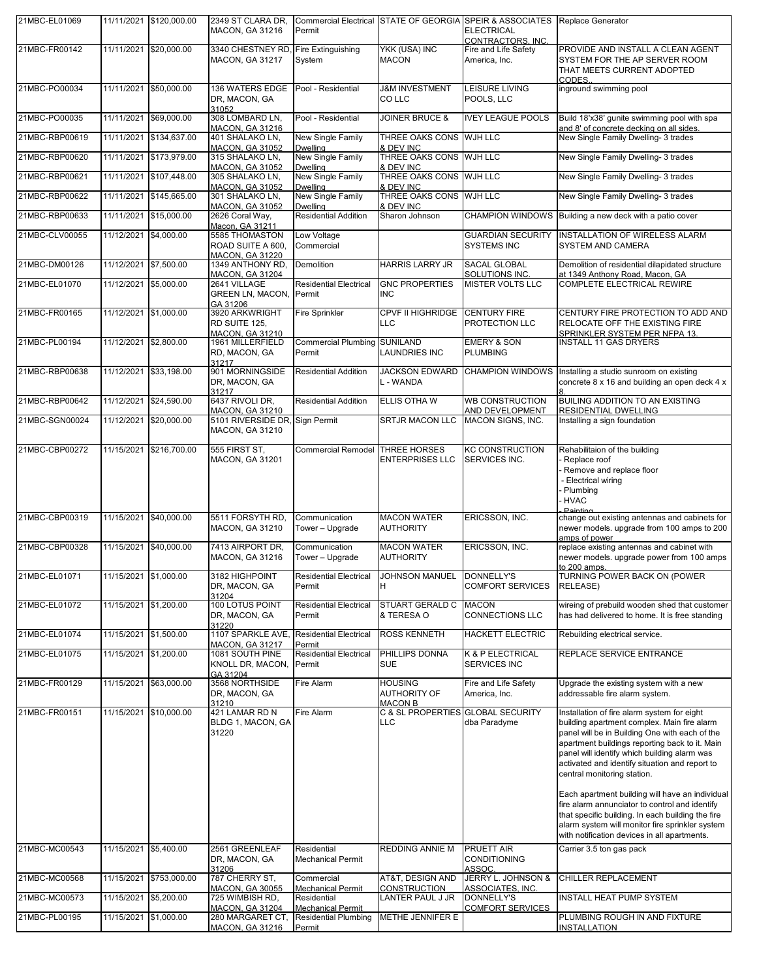| 21MBC-EL01069  |                       | 11/11/2021 \$120,000.00 | 2349 ST CLARA DR,<br>MACON, GA 31216                                               | Permit                                                  | <b>Commercial Electrical STATE OF GEORGIA</b>    | <b>SPEIR &amp; ASSOCIATES</b><br><b>ELECTRICAL</b><br>CONTRACTORS, INC. | Replace Generator                                                                                                                                                                                                                                                                                                                                                                                                                                                                                                                                                                            |
|----------------|-----------------------|-------------------------|------------------------------------------------------------------------------------|---------------------------------------------------------|--------------------------------------------------|-------------------------------------------------------------------------|----------------------------------------------------------------------------------------------------------------------------------------------------------------------------------------------------------------------------------------------------------------------------------------------------------------------------------------------------------------------------------------------------------------------------------------------------------------------------------------------------------------------------------------------------------------------------------------------|
| 21MBC-FR00142  |                       | 11/11/2021 \$20,000.00  | 3340 CHESTNEY RD, Fire Extinguishing<br><b>MACON, GA 31217</b>                     | System                                                  | YKK (USA) INC<br><b>MACON</b>                    | Fire and Life Safety<br>America, Inc.                                   | PROVIDE AND INSTALL A CLEAN AGENT<br>SYSTEM FOR THE AP SERVER ROOM<br>THAT MEETS CURRENT ADOPTED<br>CODES.                                                                                                                                                                                                                                                                                                                                                                                                                                                                                   |
| 21MBC-PO00034  |                       | 11/11/2021 \$50,000.00  | 136 WATERS EDGE<br>DR, MACON, GA<br>31052                                          | Pool - Residential                                      | <b>J&amp;M INVESTMENT</b><br>CO LLC              | LEISURE LIVING<br>POOLS, LLC                                            | inground swimming pool                                                                                                                                                                                                                                                                                                                                                                                                                                                                                                                                                                       |
| 21MBC-PO00035  |                       | 11/11/2021 \$69,000.00  | 308 LOMBARD LN,<br><b>MACON, GA 31216</b>                                          | Pool - Residential                                      | <b>JOINER BRUCE &amp;</b>                        | <b>IVEY LEAGUE POOLS</b>                                                | Build 18'x38' gunite swimming pool with spa<br>and 8' of concrete decking on all sides.                                                                                                                                                                                                                                                                                                                                                                                                                                                                                                      |
| 21MBC-RBP00619 |                       | 11/11/2021 \$134,637.00 | 401 SHALAKO LN.                                                                    | New Single Family                                       | THREE OAKS CONS WJH LLC                          |                                                                         | New Single Family Dwelling- 3 trades                                                                                                                                                                                                                                                                                                                                                                                                                                                                                                                                                         |
| 21MBC-RBP00620 |                       | 11/11/2021 \$173.979.00 | <b>MACON, GA 31052</b><br>315 SHALAKO LN,                                          | <b>Dwelling</b><br>New Single Family                    | & DEV INC<br>THREE OAKS CONS WJH LLC             |                                                                         | New Single Family Dwelling- 3 trades                                                                                                                                                                                                                                                                                                                                                                                                                                                                                                                                                         |
| 21MBC-RBP00621 |                       | 11/11/2021 \$107,448.00 | <b>MACON, GA 31052</b><br>305 SHALAKO LN,                                          | Dwelling<br>New Single Family                           | & DEV INC<br>THREE OAKS CONS WJH LLC             |                                                                         | New Single Family Dwelling- 3 trades                                                                                                                                                                                                                                                                                                                                                                                                                                                                                                                                                         |
| 21MBC-RBP00622 |                       | 11/11/2021 \$145,665.00 | <b>MACON, GA 31052</b><br>301 SHALAKO LN,                                          | <b>Dwelling</b><br>New Single Family                    | & DEV INC<br>THREE OAKS CONS WJH LLC             |                                                                         | New Single Family Dwelling- 3 trades                                                                                                                                                                                                                                                                                                                                                                                                                                                                                                                                                         |
| 21MBC-RBP00633 |                       | 11/11/2021 \$15,000.00  | <b>MACON, GA 31052</b><br>2626 Coral Way,                                          | Dwelling<br><b>Residential Addition</b>                 | & DEV INC<br>Sharon Johnson                      | <b>CHAMPION WINDOWS</b>                                                 | Building a new deck with a patio cover                                                                                                                                                                                                                                                                                                                                                                                                                                                                                                                                                       |
| 21MBC-CLV00055 | 11/12/2021 \$4,000.00 |                         | Macon, GA 31211<br>5585 THOMASTON                                                  | Low Voltage                                             |                                                  | <b>GUARDIAN SECURITY</b>                                                | INSTALLATION OF WIRELESS ALARM                                                                                                                                                                                                                                                                                                                                                                                                                                                                                                                                                               |
|                |                       |                         | ROAD SUITE A 600,<br><b>MACON, GA 31220</b>                                        | Commercial                                              |                                                  | SYSTEMS INC                                                             | SYSTEM AND CAMERA                                                                                                                                                                                                                                                                                                                                                                                                                                                                                                                                                                            |
| 21MBC-DM00126  | 11/12/2021 \$7,500.00 |                         | 1349 ANTHONY RD,<br>MACON, GA 31204                                                | <b>Demolition</b>                                       | <b>HARRIS LARRY JR</b>                           | <b>SACAL GLOBAL</b><br>SOLUTIONS INC.                                   | Demolition of residential dilapidated structure<br>at 1349 Anthony Road, Macon, GA                                                                                                                                                                                                                                                                                                                                                                                                                                                                                                           |
| 21MBC-EL01070  | 11/12/2021 55.000.00  |                         | 2641 VILLAGE<br>GREEN LN, MACON, Permit<br>GA 31206                                | <b>Residential Electrical</b>                           | <b>GNC PROPERTIES</b><br>INC                     | <b>MISTER VOLTS LLC</b>                                                 | <b>COMPLETE ELECTRICAL REWIRE</b>                                                                                                                                                                                                                                                                                                                                                                                                                                                                                                                                                            |
| 21MBC-FR00165  | 11/12/2021 \$1,000.00 |                         | 3920 ARKWRIGHT<br>RD SUITE 125,                                                    | Fire Sprinkler                                          | <b>CPVF II HIGHRIDGE</b><br>LLC                  | <b>CENTURY FIRE</b><br>PROTECTION LLC                                   | CENTURY FIRE PROTECTION TO ADD AND<br>RELOCATE OFF THE EXISTING FIRE                                                                                                                                                                                                                                                                                                                                                                                                                                                                                                                         |
| 21MBC-PL00194  | 11/12/2021 \$2,800.00 |                         | <b>MACON, GA 31210</b><br>1961 MILLERFIELD<br>RD, MACON, GA                        | <b>Commercial Plumbing</b><br>Permit                    | <b>SUNILAND</b><br><b>LAUNDRIES INC</b>          | <b>EMERY &amp; SON</b><br><b>PLUMBING</b>                               | <u>SPRINKLER SYSTEM PER NFPA 13.</u><br><b>INSTALL 11 GAS DRYERS</b>                                                                                                                                                                                                                                                                                                                                                                                                                                                                                                                         |
| 21MBC-RBP00638 |                       | 11/12/2021 \$33,198.00  | 31217<br>901 MORNINGSIDE<br>DR, MACON, GA                                          | <b>Residential Addition</b>                             | <b>JACKSON EDWARD</b><br>L - WANDA               | <b>CHAMPION WINDOWS</b>                                                 | Installing a studio sunroom on existing<br>concrete 8 x 16 and building an open deck 4 x                                                                                                                                                                                                                                                                                                                                                                                                                                                                                                     |
| 21MBC-RBP00642 |                       | 11/12/2021 \$24,590.00  | 31217<br>6437 RIVOLI DR.                                                           | <b>Residential Addition</b>                             | ELLIS OTHA W                                     | <b>WB CONSTRUCTION</b>                                                  | BUILING ADDITION TO AN EXISTING                                                                                                                                                                                                                                                                                                                                                                                                                                                                                                                                                              |
| 21MBC-SGN00024 |                       | 11/12/2021 \$20,000.00  | <b>MACON, GA 31210</b><br>5101 RIVERSIDE DR, Sign Permit<br><b>MACON, GA 31210</b> |                                                         | <b>SRTJR MACON LLC</b>                           | AND DEVELOPMENT<br>MACON SIGNS, INC.                                    | <b>RESIDENTIAL DWELLING</b><br>Installing a sign foundation                                                                                                                                                                                                                                                                                                                                                                                                                                                                                                                                  |
| 21MBC-CBP00272 |                       | 11/15/2021 \$216,700.00 | 555 FIRST ST.<br>MACON, GA 31201                                                   | Commercial Remodel THREE HORSES                         | <b>ENTERPRISES LLC</b>                           | <b>KC CONSTRUCTION</b><br>SERVICES INC.                                 | Rehabilitaion of the building<br>Replace roof<br>Remove and replace floor<br>- Electrical wiring<br>Plumbing<br><b>HVAC</b>                                                                                                                                                                                                                                                                                                                                                                                                                                                                  |
| 21MBC-CBP00319 |                       | 11/15/2021 \$40,000.00  | 5511 FORSYTH RD,<br><b>MACON, GA 31210</b>                                         | Communication<br>Tower - Upgrade                        | <b>MACON WATER</b><br><b>AUTHORITY</b>           | ERICSSON, INC.                                                          | Painting<br>change out existing antennas and cabinets for<br>newer models, upgrade from 100 amps to 200<br>amps of power                                                                                                                                                                                                                                                                                                                                                                                                                                                                     |
| 21MBC-CBP00328 | 11/15/2021            | \$40,000.00             | 7413 AIRPORT DR.<br><b>MACON, GA 31216</b>                                         | Communication<br>Tower - Upgrade                        | <b>MACON WATER</b><br><b>AUTHORITY</b>           | ERICSSON, INC.                                                          | replace existing antennas and cabinet with<br>newer models. upgrade power from 100 amps<br>to $200$ amps                                                                                                                                                                                                                                                                                                                                                                                                                                                                                     |
| 21MBC-EL01071  | 11/15/2021 \$1,000.00 |                         | 3182 HIGHPOINT<br>DR, MACON, GA<br>31204                                           | <b>Residential Electrical</b><br>Permit                 | <b>JOHNSON MANUEL</b><br>H                       | <b>DONNELLY'S</b><br><b>COMFORT SERVICES</b>                            | TURNING POWER BACK ON (POWER<br>RELEASE)                                                                                                                                                                                                                                                                                                                                                                                                                                                                                                                                                     |
| 21MBC-EL01072  | 11/15/2021 \$1,200.00 |                         | 100 LOTUS POINT<br>DR, MACON, GA<br>31220                                          | <b>Residential Electrical</b><br>Permit                 | STUART GERALD C<br>& TERESA O                    | <b>MACON</b><br><b>CONNECTIONS LLC</b>                                  | wireing of prebuild wooden shed that customer<br>has had delivered to home. It is free standing                                                                                                                                                                                                                                                                                                                                                                                                                                                                                              |
| 21MBC-EL01074  | 11/15/2021 \$1,500.00 |                         | 1107 SPARKLE AVE,<br>MACON, GA 31217                                               | <b>Residential Electrical</b><br>Permit                 | <b>ROSS KENNETH</b>                              | HACKETT ELECTRIC                                                        | Rebuilding electrical service.                                                                                                                                                                                                                                                                                                                                                                                                                                                                                                                                                               |
| 21MBC-EL01075  | 11/15/2021 \$1,200.00 |                         | 1081 SOUTH PINE<br>KNOLL DR, MACON, Permit<br>GA 31204                             | <b>Residential Electrical</b>                           | PHILLIPS DONNA<br><b>SUE</b>                     | K & P ELECTRICAL<br>SERVICES INC                                        | REPLACE SERVICE ENTRANCE                                                                                                                                                                                                                                                                                                                                                                                                                                                                                                                                                                     |
| 21MBC-FR00129  | 11/15/2021            | \$63,000.00             | 3568 NORTHSIDE<br>DR, MACON, GA<br>31210                                           | Fire Alarm                                              | <b>HOUSING</b><br><b>AUTHORITY OF</b><br>MACON B | Fire and Life Safety<br>America, Inc.                                   | Upgrade the existing system with a new<br>addressable fire alarm system.                                                                                                                                                                                                                                                                                                                                                                                                                                                                                                                     |
| 21MBC-FR00151  |                       | 11/15/2021 \$10,000.00  | 421 LAMAR RD N<br>BLDG 1, MACON, GA<br>31220                                       | Fire Alarm                                              | C & SL PROPERTIES GLOBAL SECURITY<br>LLC         | dba Paradyme                                                            | Installation of fire alarm system for eight<br>building apartment complex. Main fire alarm<br>panel will be in Building One with each of the<br>apartment buildings reporting back to it. Main<br>panel will identify which building alarm was<br>activated and identify situation and report to<br>central monitoring station.<br>Each apartment building will have an individual<br>fire alarm annunciator to control and identify<br>that specific building. In each building the fire<br>alarm system will monitor fire sprinkler system<br>with notification devices in all apartments. |
| 21MBC-MC00543  | 11/15/2021 \$5,400.00 |                         | 2561 GREENLEAF<br>DR, MACON, GA                                                    | Residential<br><b>Mechanical Permit</b>                 | REDDING ANNIE M                                  | PRUETT AIR<br><b>CONDITIONING</b>                                       | Carrier 3.5 ton gas pack                                                                                                                                                                                                                                                                                                                                                                                                                                                                                                                                                                     |
| 21MBC-MC00568  |                       | 11/15/2021 \$753,000.00 | 31206<br>787 CHERRY ST,                                                            | Commercial                                              | AT&T, DESIGN AND                                 | ASSOC.<br>JERRY L. JOHNSON &                                            | CHILLER REPLACEMENT                                                                                                                                                                                                                                                                                                                                                                                                                                                                                                                                                                          |
| 21MBC-MC00573  | 11/15/2021 \$5,200.00 |                         | <b>MACON, GA 30055</b><br>725 WIMBISH RD,                                          | <b>Mechanical Permit</b><br>Residential                 | CONSTRUCTION<br>LANTER PAUL J JR                 | ASSOCIATES, INC.<br><b>DONNELLY'S</b>                                   | INSTALL HEAT PUMP SYSTEM                                                                                                                                                                                                                                                                                                                                                                                                                                                                                                                                                                     |
| 21MBC-PL00195  | 11/15/2021 \$1,000.00 |                         | MACON, GA 31204<br>280 MARGARET CT,                                                | <b>Mechanical Permit</b><br><b>Residential Plumbing</b> | METHE JENNIFER E                                 | <b>COMFORT SERVICES</b>                                                 | PLUMBING ROUGH IN AND FIXTURE                                                                                                                                                                                                                                                                                                                                                                                                                                                                                                                                                                |
|                |                       |                         | <b>MACON, GA 31216</b>                                                             | Permit                                                  |                                                  |                                                                         | <b>INSTALLATION</b>                                                                                                                                                                                                                                                                                                                                                                                                                                                                                                                                                                          |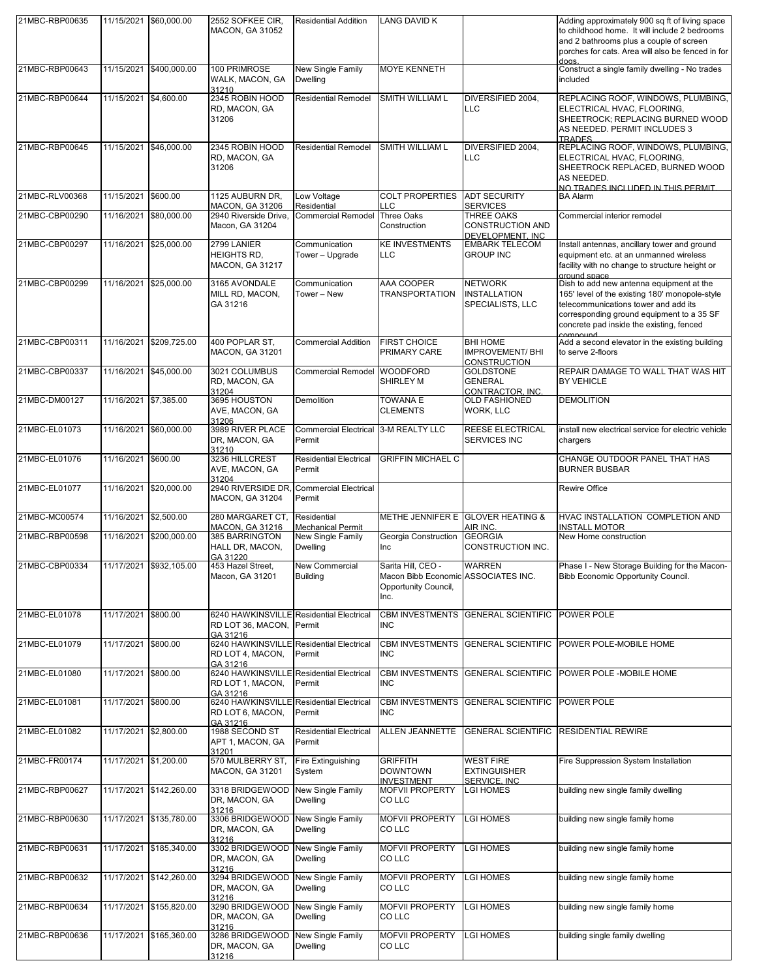| 21MBC-RBP00635 |                       | 11/15/2021 \$60,000.00  | 2552 SOFKEE CIR,<br><b>MACON, GA 31052</b>                                       | <b>Residential Addition</b>                                      | <b>LANG DAVID K</b>                                                                       |                                                                  | Adding approximately 900 sq ft of living space<br>to childhood home. It will include 2 bedrooms<br>and 2 bathrooms plus a couple of screen<br>porches for cats. Area will also be fenced in for<br>doas.                                       |
|----------------|-----------------------|-------------------------|----------------------------------------------------------------------------------|------------------------------------------------------------------|-------------------------------------------------------------------------------------------|------------------------------------------------------------------|------------------------------------------------------------------------------------------------------------------------------------------------------------------------------------------------------------------------------------------------|
| 21MBC-RBP00643 |                       | 11/15/2021 \$400,000.00 | 100 PRIMROSE<br>WALK, MACON, GA<br>31210                                         | New Single Family<br><b>Dwelling</b>                             | <b>MOYE KENNETH</b>                                                                       |                                                                  | Construct a single family dwelling - No trades<br>included                                                                                                                                                                                     |
| 21MBC-RBP00644 | 11/15/2021 \$4,600.00 |                         | 2345 ROBIN HOOD<br>RD, MACON, GA<br>31206                                        | <b>Residential Remodel</b>                                       | SMITH WILLIAM L                                                                           | DIVERSIFIED 2004.<br><b>LLC</b>                                  | REPLACING ROOF, WINDOWS, PLUMBING,<br>ELECTRICAL HVAC, FLOORING,<br>SHEETROCK; REPLACING BURNED WOOD<br>AS NEEDED. PERMIT INCLUDES 3<br><b>TRADES</b>                                                                                          |
| 21MBC-RBP00645 |                       | 11/15/2021 \$46,000.00  | 2345 ROBIN HOOD<br>RD, MACON, GA<br>31206                                        | <b>Residential Remodel</b>                                       | SMITH WILLIAM L                                                                           | DIVERSIFIED 2004,<br>LLC                                         | REPLACING ROOF, WINDOWS, PLUMBING,<br>ELECTRICAL HVAC, FLOORING,<br>SHEETROCK REPLACED, BURNED WOOD<br>AS NEEDED.<br>NO TRADES INCLUDED IN THIS PERMIT                                                                                         |
| 21MBC-RLV00368 | 11/15/2021 \$600.00   |                         | 1125 AUBURN DR.<br>MACON, GA 31206                                               | Low Voltage<br>Residential                                       | <b>COLT PROPERTIES</b><br>LLC                                                             | <b>ADT SECURITY</b><br><b>SERVICES</b>                           | <b>BA Alarm</b>                                                                                                                                                                                                                                |
| 21MBC-CBP00290 |                       | 11/16/2021 \$80,000.00  | 2940 Riverside Drive,<br>Macon, GA 31204                                         | <b>Commercial Remodel</b>                                        | <b>Three Oaks</b><br>Construction                                                         | <b>THREE OAKS</b><br><b>CONSTRUCTION AND</b><br>DEVELOPMENT, INC | Commercial interior remodel                                                                                                                                                                                                                    |
| 21MBC-CBP00297 |                       | 11/16/2021 \$25,000.00  | 2799 LANIER<br><b>HEIGHTS RD.</b><br><b>MACON, GA 31217</b>                      | Communication<br>Tower - Upgrade                                 | <b>KE INVESTMENTS</b><br><b>LLC</b>                                                       | <b>EMBARK TELECOM</b><br><b>GROUP INC</b>                        | Install antennas, ancillary tower and ground<br>equipment etc. at an unmanned wireless<br>facility with no change to structure height or<br>ground space                                                                                       |
| 21MBC-CBP00299 |                       | 11/16/2021 \$25,000.00  | 3165 AVONDALE<br>MILL RD, MACON,<br>GA 31216                                     | Communication<br>Tower - New                                     | AAA COOPER<br><b>TRANSPORTATION</b>                                                       | <b>NETWORK</b><br><b>INSTALLATION</b><br>SPECIALISTS, LLC        | Dish to add new antenna equipment at the<br>165' level of the existing 180' monopole-style<br>telecommunications tower and add its<br>corresponding ground equipment to a 35 SF<br>concrete pad inside the existing, fenced<br><b>COMPOUND</b> |
| 21MBC-CBP00311 |                       | 11/16/2021 \$209,725.00 | 400 POPLAR ST.<br><b>MACON, GA 31201</b>                                         | <b>Commercial Addition</b>                                       | <b>FIRST CHOICE</b><br><b>PRIMARY CARE</b>                                                | <b>BHI HOME</b><br><b>IMPROVEMENT/BHI</b><br><b>CONSTRUCTION</b> | Add a second elevator in the existing building<br>to serve 2-floors                                                                                                                                                                            |
| 21MBC-CBP00337 |                       | 11/16/2021 \$45,000.00  | 3021 COLUMBUS<br>RD, MACON, GA<br>31204                                          | <b>Commercial Remodel</b>                                        | <b>WOODFORD</b><br>SHIRLEY M                                                              | <b>GOLDSTONE</b><br><b>GENERAL</b><br>CONTRACTOR. INC.           | REPAIR DAMAGE TO WALL THAT WAS HIT<br><b>BY VEHICLE</b>                                                                                                                                                                                        |
| 21MBC-DM00127  | 11/16/2021 \$7,385.00 |                         | 3695 HOUSTON<br>AVE, MACON, GA<br>31206                                          | Demolition                                                       | <b>TOWANA E</b><br><b>CLEMENTS</b>                                                        | <b>OLD FASHIONED</b><br>WORK, LLC                                | <b>DEMOLITION</b>                                                                                                                                                                                                                              |
| 21MBC-EL01073  | 11/16/2021            | \$60,000.00             | 3989 RIVER PLACE<br>DR, MACON, GA<br>31210                                       | <b>Commercial Electrical</b><br>Permit                           | 3-M REALTY LLC                                                                            | <b>REESE ELECTRICAL</b><br>SERVICES INC                          | install new electrical service for electric vehicle<br>chargers                                                                                                                                                                                |
| 21MBC-EL01076  | 11/16/2021 \$600.00   |                         | 3236 HILLCREST<br>AVE, MACON, GA<br>31204                                        | <b>Residential Electrical</b><br>Permit                          | <b>GRIFFIN MICHAEL C</b>                                                                  |                                                                  | CHANGE OUTDOOR PANEL THAT HAS<br><b>BURNER BUSBAR</b>                                                                                                                                                                                          |
| 21MBC-EL01077  |                       | 11/16/2021 \$20,000.00  | 2940 RIVERSIDE DR, Commercial Electrical<br><b>MACON, GA 31204</b>               | Permit                                                           |                                                                                           |                                                                  | Rewire Office                                                                                                                                                                                                                                  |
| 21MBC-MC00574  | 11/16/2021 \$2,500.00 |                         | 280 MARGARET CT,                                                                 | Residential                                                      |                                                                                           | METHE JENNIFER E GLOVER HEATING &<br>AIR INC.                    | HVAC INSTALLATION COMPLETION AND                                                                                                                                                                                                               |
| 21MBC-RBP00598 | 11/16/2021            | \$200,000.00            | MACON, GA 31216<br>385 BARRINGTON<br>HALL DR, MACON,                             | <b>Mechanical Permit</b><br>New Single Family<br><b>Dwelling</b> | Georgia Construction<br>Inc                                                               | <b>GEORGIA</b><br>CONSTRUCTION INC.                              | <b>INSTALL MOTOR</b><br>New Home construction                                                                                                                                                                                                  |
| 21MBC-CBP00334 |                       | 11/17/2021 \$932,105.00 | GA 31220<br>453 Hazel Street,<br>Macon, GA 31201                                 | <b>New Commercial</b><br><b>Building</b>                         | Sarita Hill, CEO -<br>Macon Bibb Economic ASSOCIATES INC.<br>Opportunity Council,<br>Inc. | <b>WARREN</b>                                                    | Phase I - New Storage Building for the Macon-<br>Bibb Economic Opportunity Council.                                                                                                                                                            |
| 21MBC-EL01078  | 11/17/2021 \$800.00   |                         | 6240 HAWKINSVILLE Residential Electrical<br>RD LOT 36, MACON, Permit<br>GA 31216 |                                                                  | <b>CBM INVESTMENTS</b><br><b>INC</b>                                                      | <b>GENERAL SCIENTIFIC</b>                                        | POWER POLE                                                                                                                                                                                                                                     |
| 21MBC-EL01079  | 11/17/2021 \$800.00   |                         | 6240 HAWKINSVILLE Residential Electrical<br>RD LOT 4, MACON,<br>GA 31216         | Permit                                                           | <b>CBM INVESTMENTS</b><br><b>INC</b>                                                      | <b>GENERAL SCIENTIFIC</b>                                        | POWER POLE-MOBILE HOME                                                                                                                                                                                                                         |
| 21MBC-EL01080  | 11/17/2021 \$800.00   |                         | 6240 HAWKINSVILLE Residential Electrical<br>RD LOT 1, MACON,<br>GA 31216         | Permit                                                           | <b>CBM INVESTMENTS</b><br><b>INC</b>                                                      | <b>GENERAL SCIENTIFIC</b>                                        | POWER POLE - MOBILE HOME                                                                                                                                                                                                                       |
| 21MBC-EL01081  | 11/17/2021 \$800.00   |                         | 6240 HAWKINSVILLE Residential Electrical<br>RD LOT 6, MACON,<br>GA 31216         | Permit                                                           | <b>CBM INVESTMENTS</b><br><b>INC</b>                                                      | <b>GENERAL SCIENTIFIC</b>                                        | POWER POLE                                                                                                                                                                                                                                     |
| 21MBC-EL01082  | 11/17/2021 \$2,800.00 |                         | 1988 SECOND ST<br>APT 1, MACON, GA<br>31201                                      | <b>Residential Electrical</b><br>Permit                          | <b>ALLEN JEANNETTE</b>                                                                    | <b>GENERAL SCIENTIFIC</b>                                        | <b>RESIDENTIAL REWIRE</b>                                                                                                                                                                                                                      |
| 21MBC-FR00174  | 11/17/2021 \$1,200.00 |                         | 570 MULBERRY ST,<br><b>MACON, GA 31201</b>                                       | Fire Extinguishing<br>System                                     | <b>GRIFFITH</b><br><b>DOWNTOWN</b><br><b>INVESTMENT</b>                                   | <b>WEST FIRE</b><br><b>EXTINGUISHER</b><br>SERVICE, INC          | Fire Suppression System Installation                                                                                                                                                                                                           |
| 21MBC-RBP00627 |                       | 11/17/2021 \$142,260.00 | 3318 BRIDGEWOOD<br>DR, MACON, GA<br>31216                                        | New Single Family<br><b>Dwelling</b>                             | <b>MOFVII PROPERTY</b><br><b>COLLC</b>                                                    | LGI HOMES                                                        | building new single family dwelling                                                                                                                                                                                                            |
| 21MBC-RBP00630 |                       | 11/17/2021 \$135,780.00 | 3306 BRIDGEWOOD<br>DR, MACON, GA<br>31216                                        | New Single Family<br><b>Dwelling</b>                             | <b>MOFVII PROPERTY</b><br>CO LLC                                                          | <b>LGI HOMES</b>                                                 | building new single family home                                                                                                                                                                                                                |
| 21MBC-RBP00631 |                       | 11/17/2021 \$185,340.00 | 3302 BRIDGEWOOD<br>DR, MACON, GA<br>31216                                        | <b>New Single Family</b><br><b>Dwelling</b>                      | <b>MOFVII PROPERTY</b><br>CO LLC                                                          | <b>LGI HOMES</b>                                                 | building new single family home                                                                                                                                                                                                                |
| 21MBC-RBP00632 |                       | 11/17/2021 \$142,260.00 | 3294 BRIDGEWOOD<br>DR, MACON, GA<br>31216                                        | New Single Family<br><b>Dwelling</b>                             | <b>MOFVII PROPERTY</b><br>CO LLC                                                          | LGI HOMES                                                        | building new single family home                                                                                                                                                                                                                |
| 21MBC-RBP00634 |                       | 11/17/2021 \$155,820.00 | 3290 BRIDGEWOOD<br>DR, MACON, GA<br>31216                                        | New Single Family<br><b>Dwelling</b>                             | <b>MOFVII PROPERTY</b><br>CO LLC                                                          | <b>LGI HOMES</b>                                                 | building new single family home                                                                                                                                                                                                                |
| 21MBC-RBP00636 |                       | 11/17/2021 \$165,360.00 | 3286 BRIDGEWOOD<br>DR, MACON, GA<br>31216                                        | New Single Family<br><b>Dwelling</b>                             | <b>MOFVII PROPERTY</b><br>CO LLC                                                          | <b>LGI HOMES</b>                                                 | building single family dwelling                                                                                                                                                                                                                |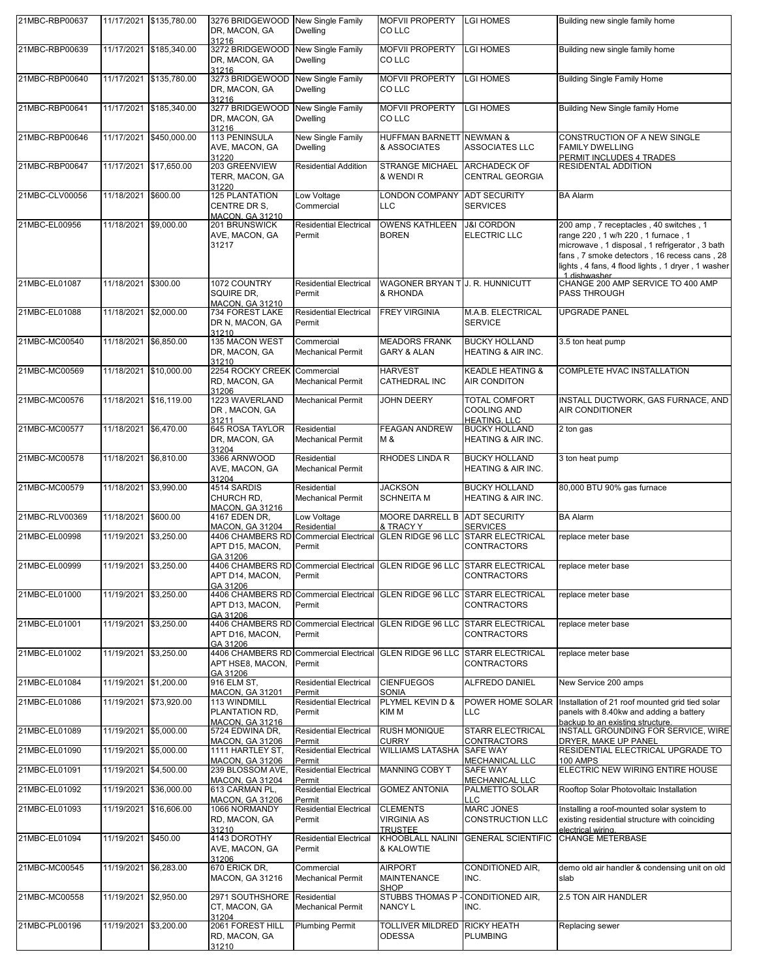| 21MBC-RBP00637 |                       | 11/17/2021 \$135,780.00 | 3276 BRIDGEWOOD New Single Family<br>DR, MACON, GA<br>31216       | <b>Dwelling</b>                                   | <b>MOFVII PROPERTY</b><br>CO LLC                                          | <b>LGI HOMES</b>                                           | Building new single family home                                                                                                                                                                                                                   |
|----------------|-----------------------|-------------------------|-------------------------------------------------------------------|---------------------------------------------------|---------------------------------------------------------------------------|------------------------------------------------------------|---------------------------------------------------------------------------------------------------------------------------------------------------------------------------------------------------------------------------------------------------|
| 21MBC-RBP00639 |                       | 11/17/2021 \$185,340.00 | 3272 BRIDGEWOOD New Single Family<br>DR, MACON, GA<br>31216       | <b>Dwelling</b>                                   | <b>MOFVII PROPERTY</b><br>CO LLC                                          | <b>LGI HOMES</b>                                           | Building new single family home                                                                                                                                                                                                                   |
| 21MBC-RBP00640 |                       | 11/17/2021 \$135,780.00 | 3273 BRIDGEWOOD New Single Family<br>DR, MACON, GA<br>31216       | <b>Dwelling</b>                                   | <b>MOFVII PROPERTY</b><br>CO LLC                                          | <b>LGI HOMES</b>                                           | <b>Building Single Family Home</b>                                                                                                                                                                                                                |
| 21MBC-RBP00641 | 11/17/2021            | \$185,340.00            | 3277 BRIDGEWOOD<br>DR, MACON, GA<br>31216                         | New Single Family<br><b>Dwelling</b>              | <b>MOFVII PROPERTY</b><br>CO LLC                                          | <b>LGI HOMES</b>                                           | <b>Building New Single family Home</b>                                                                                                                                                                                                            |
| 21MBC-RBP00646 | 11/17/2021            | \$450,000.00            | 113 PENINSULA<br>AVE, MACON, GA<br>31220                          | New Single Family<br><b>Dwelling</b>              | <b>HUFFMAN BARNETT NEWMAN &amp;</b><br>& ASSOCIATES                       | <b>ASSOCIATES LLC</b>                                      | <b>CONSTRUCTION OF A NEW SINGLE</b><br><b>FAMILY DWELLING</b>                                                                                                                                                                                     |
| 21MBC-RBP00647 |                       | 11/17/2021 \$17,650.00  | 203 GREENVIEW<br>TERR, MACON, GA                                  | <b>Residential Addition</b>                       | <b>STRANGE MICHAEL</b><br>& WENDI R                                       | <b>ARCHADECK OF</b><br><b>CENTRAL GEORGIA</b>              | PERMIT INCLUDES 4 TRADES<br><b>RESIDENTAL ADDITION</b>                                                                                                                                                                                            |
| 21MBC-CLV00056 | 11/18/2021 \$600.00   |                         | 31220<br><b>125 PLANTATION</b><br>CENTRE DR S.<br>MACON, GA 31210 | Low Voltage<br>Commercial                         | <b>LONDON COMPANY</b><br>LLC                                              | <b>ADT SECURITY</b><br><b>SERVICES</b>                     | <b>BA Alarm</b>                                                                                                                                                                                                                                   |
| 21MBC-EL00956  | 11/18/2021 \$9,000.00 |                         | 201 BRUNSWICK<br>AVE, MACON, GA<br>31217                          | <b>Residential Electrical</b><br>Permit           | <b>OWENS KATHLEEN</b><br><b>BOREN</b>                                     | <b>J&amp;I CORDON</b><br><b>ELECTRIC LLC</b>               | 200 amp, 7 receptacles, 40 switches, 1<br>range 220, 1 w/h 220, 1 furnace, 1<br>microwave, 1 disposal, 1 refrigerator, 3 bath<br>fans, 7 smoke detectors, 16 recess cans, 28<br>lights, 4 fans, 4 flood lights, 1 dryer, 1 washer<br>1 dishwasher |
| 21MBC-EL01087  | 11/18/2021 \$300.00   |                         | 1072 COUNTRY<br>SQUIRE DR,<br><b>MACON, GA 31210</b>              | <b>Residential Electrical</b><br>Permit           | WAGONER BRYAN TU. R. HUNNICUTT<br>& RHONDA                                |                                                            | CHANGE 200 AMP SERVICE TO 400 AMP<br><b>PASS THROUGH</b>                                                                                                                                                                                          |
| 21MBC-EL01088  | 11/18/2021 \$2,000.00 |                         | 734 FOREST LAKE<br>DR N, MACON, GA<br>31210                       | <b>Residential Electrical</b><br>Permit           | <b>FREY VIRGINIA</b>                                                      | M.A.B. ELECTRICAL<br><b>SERVICE</b>                        | <b>UPGRADE PANEL</b>                                                                                                                                                                                                                              |
| 21MBC-MC00540  | 11/18/2021            | \$6,850.00              | 135 MACON WEST<br>DR, MACON, GA<br>31210                          | Commercial<br><b>Mechanical Permit</b>            | <b>MEADORS FRANK</b><br><b>GARY &amp; ALAN</b>                            | <b>BUCKY HOLLAND</b><br><b>HEATING &amp; AIR INC.</b>      | 3.5 ton heat pump                                                                                                                                                                                                                                 |
| 21MBC-MC00569  | 11/18/2021            | \$10,000.00             | 2254 ROCKY CREEK Commercial<br>RD, MACON, GA<br>31206             | <b>Mechanical Permit</b>                          | <b>HARVEST</b><br>CATHEDRAL INC                                           | <b>KEADLE HEATING &amp;</b><br>AIR CONDITON                | COMPLETE HVAC INSTALLATION                                                                                                                                                                                                                        |
| 21MBC-MC00576  |                       | 11/18/2021 \$16,119.00  | 1223 WAVERLAND<br>DR, MACON, GA<br>31211                          | <b>Mechanical Permit</b>                          | <b>JOHN DEERY</b>                                                         | <b>TOTAL COMFORT</b><br>COOLING AND<br><b>HEATING, LLC</b> | INSTALL DUCTWORK, GAS FURNACE, AND<br>AIR CONDITIONER                                                                                                                                                                                             |
| 21MBC-MC00577  | 11/18/2021 \$6,470.00 |                         | 645 ROSA TAYLOR<br>DR, MACON, GA<br>31204                         | Residential<br><b>Mechanical Permit</b>           | <b>FEAGAN ANDREW</b><br>M &                                               | <b>BUCKY HOLLAND</b><br><b>HEATING &amp; AIR INC.</b>      | 2 ton gas                                                                                                                                                                                                                                         |
| 21MBC-MC00578  | 11/18/2021            | \$6,810.00              | 3366 ARNWOOD<br>AVE, MACON, GA<br>31204                           | Residential<br><b>Mechanical Permit</b>           | RHODES LINDA R                                                            | <b>BUCKY HOLLAND</b><br><b>HEATING &amp; AIR INC.</b>      | 3 ton heat pump                                                                                                                                                                                                                                   |
| 21MBC-MC00579  | 11/18/2021 \$3,990.00 |                         | 4514 SARDIS<br>CHURCH RD,<br><b>MACON, GA 31216</b>               | Residential<br><b>Mechanical Permit</b>           | <b>JACKSON</b><br>SCHNEITA M                                              | <b>BUCKY HOLLAND</b><br>HEATING & AIR INC.                 | 80,000 BTU 90% gas furnace                                                                                                                                                                                                                        |
| 21MBC-RLV00369 | 11/18/2021 \$600.00   |                         | 4167 EDEN DR,<br><b>MACON, GA 31204</b>                           | Low Voltage<br>Residential                        | <b>MOORE DARRELL B</b>                                                    | <b>ADT SECURITY</b><br><b>SERVICES</b>                     | <b>BA Alarm</b>                                                                                                                                                                                                                                   |
| 21MBC-EL00998  | 11/19/2021 \$3,250.00 |                         | 4406 CHAMBERS RD<br>APT D15, MACON,                               | <b>Commercial Electrical</b><br>Permit            | & TRACY Y<br><b>GLEN RIDGE 96 LLC</b>                                     | <b>STARR ELECTRICAL</b><br><b>CONTRACTORS</b>              | replace meter base                                                                                                                                                                                                                                |
| 21MBC-EL00999  | 11/19/2021 \$3,250.00 |                         | GA 31206<br>APT D14, MACON,<br>GA 31206                           | Permit                                            | 4406 CHAMBERS RD Commercial Electrical GLEN RIDGE 96 LLC STARR ELECTRICAL | <b>CONTRACTORS</b>                                         | replace meter base                                                                                                                                                                                                                                |
| 21MBC-EL01000  | 11/19/2021 \$3,250.00 |                         | 4406 CHAMBERS RD<br>APT D13, MACON,<br>GA 31206                   | <b>Commercial Electrical</b><br>Permit            | <b>GLEN RIDGE 96 LLC STARR ELECTRICAL</b>                                 | CONTRACTORS                                                | replace meter base                                                                                                                                                                                                                                |
| 21MBC-EL01001  | 11/19/2021 \$3,250.00 |                         | 4406 CHAMBERS RD<br>APT D16, MACON,<br>GA 31206                   | <b>Commercial Electrical</b><br>Permit            | GLEN RIDGE 96 LLC STARR ELECTRICAL                                        | <b>CONTRACTORS</b>                                         | replace meter base                                                                                                                                                                                                                                |
| 21MBC-EL01002  | 11/19/2021 \$3,250.00 |                         | 4406 CHAMBERS RD<br>APT HSE8. MACON.<br>GA 31206                  | <b>Commercial Electrical</b><br>Permit            | <b>GLEN RIDGE 96 LLC</b>                                                  | <b>STARR ELECTRICAL</b><br><b>CONTRACTORS</b>              | replace meter base                                                                                                                                                                                                                                |
| 21MBC-EL01084  | 11/19/2021 \$1,200.00 |                         | 916 ELM ST.<br><b>MACON, GA 31201</b>                             | <b>Residential Electrical</b><br>Permit           | <b>CIENFUEGOS</b><br>SONIA                                                | ALFREDO DANIEL                                             | New Service 200 amps                                                                                                                                                                                                                              |
| 21MBC-EL01086  |                       | 11/19/2021 \$73,920.00  | 113 WINDMILL<br>PLANTATION RD,<br><b>MACON, GA 31216</b>          | <b>Residential Electrical</b><br>Permit           | PLYMEL KEVIN D &<br>KIM M                                                 | POWER HOME SOLAR<br><b>LLC</b>                             | Installation of 21 roof mounted grid tied solar<br>panels with 8.40kw and adding a battery<br>backup to an existing structure.                                                                                                                    |
| 21MBC-EL01089  | 11/19/2021 \$5,000.00 |                         | 5724 EDWINA DR,<br><b>MACON, GA 31206</b>                         | <b>Residential Electrical</b><br>Permit           | <b>RUSH MONIQUE</b><br><b>CURRY</b>                                       | STARR ELECTRICAL<br><b>CONTRACTORS</b>                     | INSTALL GROUNDING FOR SERVICE, WIRE<br>DRYER, MAKE UP PANEL                                                                                                                                                                                       |
| 21MBC-EL01090  | 11/19/2021            | \$5,000.00              | 1111 HARTLEY ST,                                                  | <b>Residential Electrical</b>                     | <b>WILLIAMS LATASHA</b>                                                   | <b>SAFE WAY</b>                                            | RESIDENTIAL ELECTRICAL UPGRADE TO                                                                                                                                                                                                                 |
| 21MBC-EL01091  | 11/19/2021 \$4,500.00 |                         | MACON, GA 31206<br>239 BLOSSOM AVE,                               | Permit<br><b>Residential Electrical</b>           | MANNING COBY T                                                            | MECHANICAL LLC<br><b>SAFE WAY</b>                          | <b>100 AMPS</b><br>ELECTRIC NEW WIRING ENTIRE HOUSE                                                                                                                                                                                               |
| 21MBC-EL01092  |                       | 11/19/2021 \$36,000.00  | <b>MACON, GA 31204</b><br>613 CARMAN PL,                          | Permit<br><b>Residential Electrical</b>           | <b>GOMEZ ANTONIA</b>                                                      | <b>MECHANICAL LLC</b><br>PALMETTO SOLAR                    | Rooftop Solar Photovoltaic Installation                                                                                                                                                                                                           |
| 21MBC-EL01093  |                       | 11/19/2021 \$16,606.00  | <b>MACON, GA 31206</b><br>1066 NORMANDY<br>RD, MACON, GA          | Permit<br><b>Residential Electrical</b><br>Permit | <b>CLEMENTS</b><br>VIRGINIA AS                                            | LLC<br><b>MARC JONES</b><br>CONSTRUCTION LLC               | Installing a roof-mounted solar system to<br>existing residential structure with coinciding                                                                                                                                                       |
| 21MBC-EL01094  | 11/19/2021 \$450.00   |                         | 31210<br>4143 DOROTHY<br>AVE, MACON, GA                           | <b>Residential Electrical</b><br>Permit           | <b>TRUSTEE</b><br>KHOOBLALL NALINI<br>& KALOWTIE                          | <b>GENERAL SCIENTIFIC</b>                                  | electrical wiring.<br><b>CHANGE METERBASE</b>                                                                                                                                                                                                     |
| 21MBC-MC00545  | 11/19/2021 \$6,283.00 |                         | 31206<br>670 ERICK DR,<br><b>MACON, GA 31216</b>                  | Commercial<br><b>Mechanical Permit</b>            | <b>AIRPORT</b><br>MAINTENANCE                                             | CONDITIONED AIR,<br>INC.                                   | demo old air handler & condensing unit on old<br>slab                                                                                                                                                                                             |
| 21MBC-MC00558  | 11/19/2021 \$2,950.00 |                         | 2971 SOUTHSHORE Residential<br>CT, MACON, GA                      | <b>Mechanical Permit</b>                          | <b>SHOP</b><br><b>STUBBS THOMAS P</b><br>NANCY L                          | CONDITIONED AIR,<br>INC.                                   | 2.5 TON AIR HANDLER                                                                                                                                                                                                                               |
| 21MBC-PL00196  | 11/19/2021 \$3,200.00 |                         | 31204<br>2061 FOREST HILL<br>RD, MACON, GA<br>31210               | <b>Plumbing Permit</b>                            | TOLLIVER MILDRED<br>ODESSA                                                | <b>RICKY HEATH</b><br><b>PLUMBING</b>                      | Replacing sewer                                                                                                                                                                                                                                   |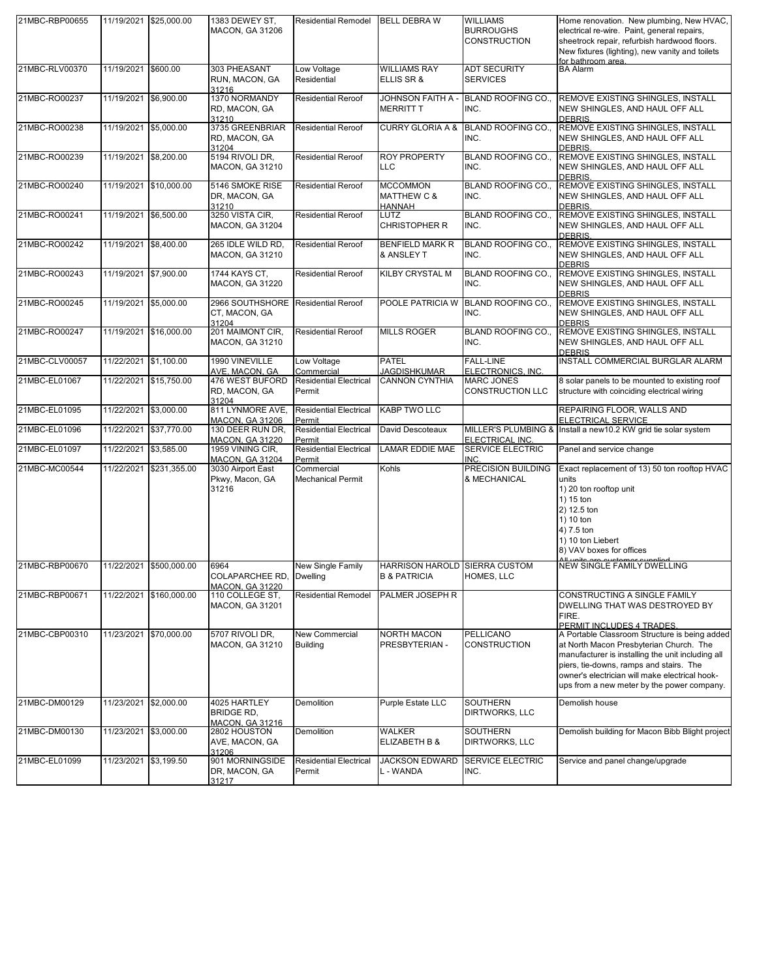| 21MBC-RBP00655 |                       | 11/19/2021 \$25,000.00  | 1383 DEWEY ST,<br><b>MACON, GA 31206</b>                                | <b>Residential Remodel</b>                       | <b>BELL DEBRA W</b>                                      | <b>WILLIAMS</b><br><b>BURROUGHS</b><br>CONSTRUCTION | Home renovation. New plumbing, New HVAC,<br>electrical re-wire. Paint, general repairs,<br>sheetrock repair, refurbish hardwood floors.                                                                                                                                                  |
|----------------|-----------------------|-------------------------|-------------------------------------------------------------------------|--------------------------------------------------|----------------------------------------------------------|-----------------------------------------------------|------------------------------------------------------------------------------------------------------------------------------------------------------------------------------------------------------------------------------------------------------------------------------------------|
|                |                       |                         |                                                                         |                                                  |                                                          |                                                     | New fixtures (lighting), new vanity and toilets<br>for bathroom area.                                                                                                                                                                                                                    |
| 21MBC-RLV00370 | 11/19/2021 \$600.00   |                         | 303 PHEASANT<br>RUN, MACON, GA<br>31216                                 | Low Voltage<br>Residential                       | <b>WILLIAMS RAY</b><br>ELLIS SR &                        | <b>ADT SECURITY</b><br><b>SERVICES</b>              | <b>BA Alarm</b>                                                                                                                                                                                                                                                                          |
| 21MBC-RO00237  | 11/19/2021 \$6,900.00 |                         | 1370 NORMANDY<br>RD, MACON, GA<br>31210                                 | <b>Residential Reroof</b>                        | JOHNSON FAITH A -<br>MERRITT T                           | BLAND ROOFING CO.,<br>INC.                          | REMOVE EXISTING SHINGLES, INSTALL<br>NEW SHINGLES, AND HAUL OFF ALL<br>DEBRIS.                                                                                                                                                                                                           |
| 21MBC-RO00238  | 11/19/2021 \$5,000.00 |                         | 3735 GREENBRIAR<br>RD, MACON, GA                                        | <b>Residential Reroof</b>                        | <b>CURRY GLORIA A &amp;</b>                              | <b>BLAND ROOFING CO.,</b><br>INC.                   | REMOVE EXISTING SHINGLES, INSTALL<br>NEW SHINGLES, AND HAUL OFF ALL                                                                                                                                                                                                                      |
| 21MBC-RO00239  | 11/19/2021 \$8,200.00 |                         | 31204<br>5194 RIVOLI DR,<br><b>MACON, GA 31210</b>                      | <b>Residential Reroof</b>                        | <b>ROY PROPERTY</b><br>LLC                               | <b>BLAND ROOFING CO.,</b><br>INC.                   | DEBRIS.<br>REMOVE EXISTING SHINGLES, INSTALL<br>NEW SHINGLES, AND HAUL OFF ALL                                                                                                                                                                                                           |
| 21MBC-RO00240  |                       | 11/19/2021 \$10,000.00  | 5146 SMOKE RISE<br>DR, MACON, GA                                        | <b>Residential Reroof</b>                        | <b>MCCOMMON</b><br><b>MATTHEW C &amp;</b>                | <b>BLAND ROOFING CO</b><br>INC.                     | <b>DEBRIS</b><br>REMOVE EXISTING SHINGLES, INSTALL<br>NEW SHINGLES, AND HAUL OFF ALL                                                                                                                                                                                                     |
| 21MBC-RO00241  | 11/19/2021            | \$6,500.00              | 31210<br>3250 VISTA CIR,<br><b>MACON, GA 31204</b>                      | <b>Residential Reroof</b>                        | <b>HANNAH</b><br>LUTZ<br><b>CHRISTOPHER R</b>            | <b>BLAND ROOFING CO.,</b><br>INC.                   | DEBRIS.<br>REMOVE EXISTING SHINGLES, INSTALL<br>NEW SHINGLES, AND HAUL OFF ALL                                                                                                                                                                                                           |
| 21MBC-RO00242  | 11/19/2021 \$8,400.00 |                         | 265 IDLE WILD RD,<br><b>MACON, GA 31210</b>                             | <b>Residential Reroof</b>                        | <b>BENFIELD MARK R</b><br>& ANSLEY T                     | BLAND ROOFING CO.,<br>INC.                          | <b>DEBRIS</b><br>REMOVE EXISTING SHINGLES, INSTALL<br>NEW SHINGLES, AND HAUL OFF ALL                                                                                                                                                                                                     |
| 21MBC-RO00243  | 11/19/2021 \$7,900.00 |                         | 1744 KAYS CT,<br><b>MACON, GA 31220</b>                                 | <b>Residential Reroof</b>                        | KILBY CRYSTAL M                                          | BLAND ROOFING CO.,<br>INC.                          | <b>DEBRIS</b><br>REMOVE EXISTING SHINGLES, INSTALL<br>NEW SHINGLES, AND HAUL OFF ALL<br><b>DEBRIS</b>                                                                                                                                                                                    |
| 21MBC-RO00245  | 11/19/2021 \$5,000.00 |                         | 2966 SOUTHSHORE<br>CT, MACON, GA<br>31204                               | <b>Residential Reroof</b>                        | POOLE PATRICIA W                                         | BLAND ROOFING CO.,<br>INC.                          | REMOVE EXISTING SHINGLES, INSTALL<br>NEW SHINGLES, AND HAUL OFF ALL<br><b>DEBRIS</b>                                                                                                                                                                                                     |
| 21MBC-RO00247  |                       | 11/19/2021 \$16,000.00  | 201 MAIMONT CIR,<br><b>MACON, GA 31210</b>                              | <b>Residential Reroof</b>                        | <b>MILLS ROGER</b>                                       | <b>BLAND ROOFING CO.,</b><br>INC.                   | REMOVE EXISTING SHINGLES, INSTALL<br>NEW SHINGLES, AND HAUL OFF ALL<br><b>DEBRIS</b>                                                                                                                                                                                                     |
| 21MBC-CLV00057 | 11/22/2021 \$1,100.00 |                         | 1990 VINEVILLE                                                          | Low Voltage<br>Commercial                        | PATEL<br><b>JAGDISHKUMAR</b>                             | <b>FALL-LINE</b><br>ELECTRONICS, INC.               | INSTALL COMMERCIAL BURGLAR ALARM                                                                                                                                                                                                                                                         |
| 21MBC-EL01067  |                       | 11/22/2021 \$15,750.00  | AVE, MACON, GA<br>476 WEST BUFORD<br>RD, MACON, GA<br>31204             | <b>Residential Electrical</b><br>Permit          | CANNON CYNTHIA                                           | <b>MARC JONES</b><br>CONSTRUCTION LLC               | 8 solar panels to be mounted to existing roof<br>structure with coinciding electrical wiring                                                                                                                                                                                             |
| 21MBC-EL01095  | 11/22/2021 \$3,000.00 |                         | 811 LYNMORE AVE,                                                        | <b>Residential Electrical</b>                    | <b>KABP TWO LLC</b>                                      |                                                     | REPAIRING FLOOR, WALLS AND                                                                                                                                                                                                                                                               |
| 21MBC-EL01096  |                       | 11/22/2021 \$37,770.00  | <b>MACON, GA 31206</b><br>130 DEER RUN DR,                              | Permit<br><b>Residential Electrical</b>          | David Descoteaux                                         | MILLER'S PLUMBING &                                 | ELECTRICAL SERVICE<br>Install a new10.2 KW grid tie solar system                                                                                                                                                                                                                         |
| 21MBC-EL01097  | 11/22/2021 \$3,585.00 |                         | <b>MACON, GA 31220</b><br>1959 VINING CIR,                              | Permit<br><b>Residential Electrical</b>          | LAMAR EDDIE MAE                                          | ELECTRICAL INC.<br><b>SERVICE ELECTRIC</b>          | Panel and service change                                                                                                                                                                                                                                                                 |
| 21MBC-MC00544  |                       | 11/22/2021 \$231,355.00 | <b>MACON, GA 31204</b><br>3030 Airport East<br>Pkwy, Macon, GA<br>31216 | Permit<br>Commercial<br><b>Mechanical Permit</b> | Kohls                                                    | INC.<br>PRECISION BUILDING<br>& MECHANICAL          | Exact replacement of 13) 50 ton rooftop HVAC<br>units<br>1) 20 ton rooftop unit<br>1) 15 ton<br>2) 12.5 ton<br>1) 10 ton<br>4) 7.5 ton<br>1) 10 ton Liebert<br>8) VAV boxes for offices                                                                                                  |
| 21MBC-RBP00670 |                       | 11/22/2021 \$500,000.00 | 6964<br>COLAPARCHEE RD,<br><b>MACON, GA 31220</b>                       | New Single Family<br><b>Dwelling</b>             | HARRISON HAROLD SIERRA CUSTOM<br><b>B &amp; PATRICIA</b> | HOMES, LLC                                          | <b>NEW SINGLE FAMILY DWELLING</b>                                                                                                                                                                                                                                                        |
| 21MBC-RBP00671 |                       | 11/22/2021 \$160,000.00 | 110 COLLEGE ST,<br><b>MACON, GA 31201</b>                               | <b>Residential Remodel</b>                       | PALMER JOSEPH R                                          |                                                     | CONSTRUCTING A SINGLE FAMILY<br>DWELLING THAT WAS DESTROYED BY<br>FIRE.<br>PERMIT INCLUDES 4 TRADES.                                                                                                                                                                                     |
| 21MBC-CBP00310 |                       | 11/23/2021 \$70,000.00  | 5707 RIVOLI DR.<br><b>MACON, GA 31210</b>                               | New Commercial<br><b>Building</b>                | <b>NORTH MACON</b><br>PRESBYTERIAN -                     | <b>PELLICANO</b><br>CONSTRUCTION                    | A Portable Classroom Structure is being added<br>at North Macon Presbyterian Church. The<br>manufacturer is installing the unit including all<br>piers, tie-downs, ramps and stairs. The<br>owner's electrician will make electrical hook-<br>ups from a new meter by the power company. |
| 21MBC-DM00129  | 11/23/2021 \$2,000.00 |                         | 4025 HARTLEY<br><b>BRIDGE RD,</b><br><b>MACON, GA 31216</b>             | Demolition                                       | Purple Estate LLC                                        | SOUTHERN<br>DIRTWORKS, LLC                          | Demolish house                                                                                                                                                                                                                                                                           |
| 21MBC-DM00130  | 11/23/2021 \$3,000.00 |                         | 2802 HOUSTON<br>AVE, MACON, GA<br>31206                                 | Demolition                                       | WALKER<br>ELIZABETH B &                                  | SOUTHERN<br>DIRTWORKS, LLC                          | Demolish building for Macon Bibb Blight project                                                                                                                                                                                                                                          |
| 21MBC-EL01099  | 11/23/2021 \$3,199.50 |                         | 901 MORNINGSIDE<br>DR, MACON, GA<br>31217                               | <b>Residential Electrical</b><br>Permit          | JACKSON EDWARD<br>L - WANDA                              | <b>SERVICE ELECTRIC</b><br>INC.                     | Service and panel change/upgrade                                                                                                                                                                                                                                                         |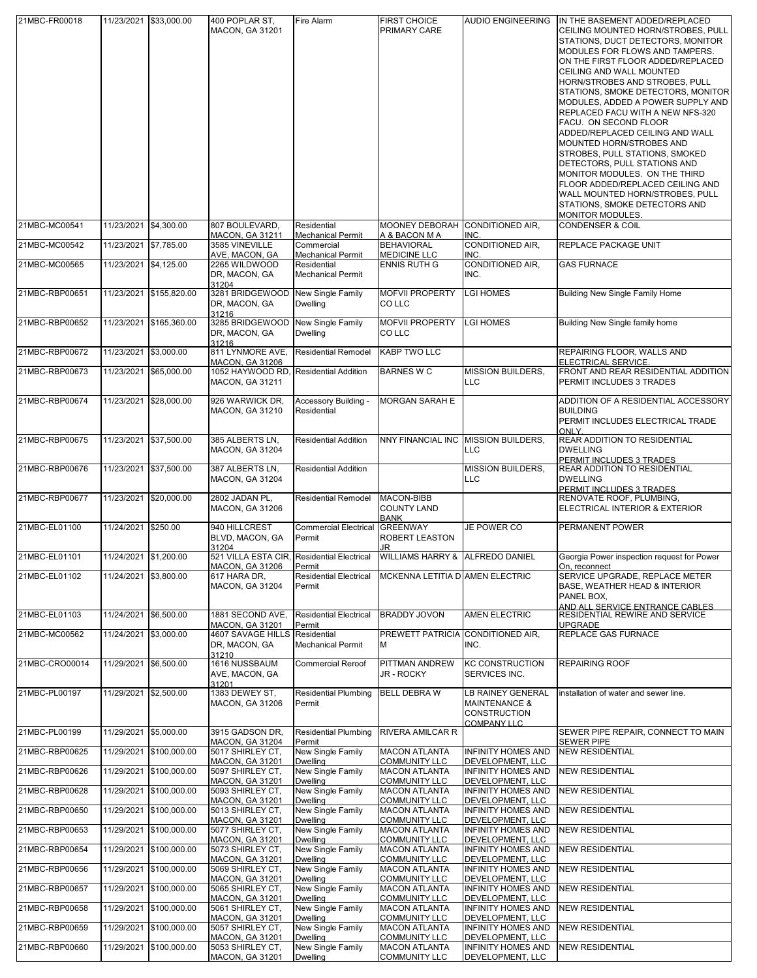| 21MBC-FR00018  |                       | 11/23/2021 \$33,000.00  | 400 POPLAR ST,<br><b>MACON, GA 31201</b>                                                  | Fire Alarm                                      | <b>FIRST CHOICE</b><br>PRIMARY CARE             | <b>AUDIO ENGINEERING</b>                                                            | IN THE BASEMENT ADDED/REPLACED<br>CEILING MOUNTED HORN/STROBES, PULL<br>STATIONS, DUCT DETECTORS, MONITOR<br>MODULES FOR FLOWS AND TAMPERS.<br>ON THE FIRST FLOOR ADDED/REPLACED<br>CEILING AND WALL MOUNTED<br>HORN/STROBES AND STROBES, PULL<br>STATIONS, SMOKE DETECTORS, MONITOR<br>MODULES, ADDED A POWER SUPPLY AND<br>REPLACED FACU WITH A NEW NFS-320<br>FACU. ON SECOND FLOOR<br>ADDED/REPLACED CEILING AND WALL<br>MOUNTED HORN/STROBES AND<br>STROBES, PULL STATIONS, SMOKED<br>DETECTORS, PULL STATIONS AND<br>MONITOR MODULES. ON THE THIRD<br>FLOOR ADDED/REPLACED CEILING AND<br>WALL MOUNTED HORN/STROBES, PULL<br>STATIONS, SMOKE DETECTORS AND<br>MONITOR MODULES. |
|----------------|-----------------------|-------------------------|-------------------------------------------------------------------------------------------|-------------------------------------------------|-------------------------------------------------|-------------------------------------------------------------------------------------|--------------------------------------------------------------------------------------------------------------------------------------------------------------------------------------------------------------------------------------------------------------------------------------------------------------------------------------------------------------------------------------------------------------------------------------------------------------------------------------------------------------------------------------------------------------------------------------------------------------------------------------------------------------------------------------|
| 21MBC-MC00541  | 11/23/2021 \$4,300.00 |                         | 807 BOULEVARD,<br><b>MACON, GA 31211</b>                                                  | Residential<br><b>Mechanical Permit</b>         | MOONEY DEBORAH<br>A & BACON M A                 | CONDITIONED AIR,<br>INC.                                                            | <b>CONDENSER &amp; COIL</b>                                                                                                                                                                                                                                                                                                                                                                                                                                                                                                                                                                                                                                                          |
| 21MBC-MC00542  | 11/23/2021 \$7,785.00 |                         | 3585 VINEVILLE<br>AVE, MACON, GA                                                          | Commercial<br><b>Mechanical Permit</b>          | <b>BEHAVIORAL</b><br><b>MEDICINE LLC</b>        | <b>CONDITIONED AIR,</b><br>INC.                                                     | REPLACE PACKAGE UNIT                                                                                                                                                                                                                                                                                                                                                                                                                                                                                                                                                                                                                                                                 |
| 21MBC-MC00565  | 11/23/2021 \$4,125.00 |                         | 2265 WILDWOOD<br>DR, MACON, GA<br>31204                                                   | Residential<br><b>Mechanical Permit</b>         | <b>ENNIS RUTH G</b>                             | CONDITIONED AIR,<br>INC.                                                            | <b>GAS FURNACE</b>                                                                                                                                                                                                                                                                                                                                                                                                                                                                                                                                                                                                                                                                   |
| 21MBC-RBP00651 |                       | 11/23/2021 \$155,820.00 | 3281 BRIDGEWOOD<br>DR, MACON, GA<br>31216                                                 | New Single Family<br>Dwelling                   | <b>MOFVII PROPERTY</b><br><b>COLLC</b>          | <b>LGI HOMES</b>                                                                    | <b>Building New Single Family Home</b>                                                                                                                                                                                                                                                                                                                                                                                                                                                                                                                                                                                                                                               |
| 21MBC-RBP00652 |                       | 11/23/2021 \$165,360.00 | 3285 BRIDGEWOOD<br>DR, MACON, GA                                                          | New Single Family<br><b>Dwelling</b>            | <b>MOFVII PROPERTY</b><br>CO LLC                | <b>LGI HOMES</b>                                                                    | Building New Single family home                                                                                                                                                                                                                                                                                                                                                                                                                                                                                                                                                                                                                                                      |
| 21MBC-RBP00672 | 11/23/2021 \$3,000.00 |                         | 31216<br>811 LYNMORE AVE,                                                                 | <b>Residential Remodel</b>                      | <b>KABP TWO LLC</b>                             |                                                                                     | REPAIRING FLOOR, WALLS AND<br>ELECTRICAL SERVICE.                                                                                                                                                                                                                                                                                                                                                                                                                                                                                                                                                                                                                                    |
| 21MBC-RBP00673 | 11/23/2021            | \$65,000.00             | <b>MACON, GA 31206</b><br>1052 HAYWOOD RD, Residential Addition<br><b>MACON, GA 31211</b> |                                                 | <b>BARNES W C</b>                               | <b>MISSION BUILDERS,</b><br><b>LLC</b>                                              | FRONT AND REAR RESIDENTIAL ADDITION<br>PERMIT INCLUDES 3 TRADES                                                                                                                                                                                                                                                                                                                                                                                                                                                                                                                                                                                                                      |
| 21MBC-RBP00674 |                       | 11/23/2021 \$28,000.00  | 926 WARWICK DR,<br><b>MACON, GA 31210</b>                                                 | Accessory Building -<br>Residential             | <b>MORGAN SARAH E</b>                           |                                                                                     | ADDITION OF A RESIDENTIAL ACCESSORY<br><b>BUILDING</b><br>PERMIT INCLUDES ELECTRICAL TRADE<br>ONLY                                                                                                                                                                                                                                                                                                                                                                                                                                                                                                                                                                                   |
| 21MBC-RBP00675 |                       | 11/23/2021 \$37,500.00  | 385 ALBERTS LN.<br><b>MACON, GA 31204</b>                                                 | <b>Residential Addition</b>                     | <b>NNY FINANCIAL INC</b>                        | <b>MISSION BUILDERS,</b><br><b>LLC</b>                                              | <b>REAR ADDITION TO RESIDENTIAL</b><br><b>DWELLING</b><br>PERMIT INCLUDES 3 TRADES                                                                                                                                                                                                                                                                                                                                                                                                                                                                                                                                                                                                   |
| 21MBC-RBP00676 |                       | 11/23/2021 \$37,500.00  | 387 ALBERTS LN.<br><b>MACON, GA 31204</b>                                                 | <b>Residential Addition</b>                     |                                                 | MISSION BUILDERS,<br><b>LLC</b>                                                     | REAR ADDITION TO RESIDENTIAL<br><b>DWELLING</b><br>PERMIT INCLUDES 3 TRADES                                                                                                                                                                                                                                                                                                                                                                                                                                                                                                                                                                                                          |
| 21MBC-RBP00677 |                       | 11/23/2021 \$20,000.00  | 2802 JADAN PL,<br><b>MACON, GA 31206</b>                                                  | <b>Residential Remodel</b>                      | MACON-BIBB<br><b>COUNTY LAND</b><br><b>BANK</b> |                                                                                     | RENOVATE ROOF, PLUMBING,<br>ELECTRICAL INTERIOR & EXTERIOR                                                                                                                                                                                                                                                                                                                                                                                                                                                                                                                                                                                                                           |
| 21MBC-EL01100  | 11/24/2021            | \$250.00                | 940 HILLCREST<br>BLVD, MACON, GA<br>31204                                                 | <b>Commercial Electrical GREENWAY</b><br>Permit | <b>ROBERT LEASTON</b><br>JR                     | JE POWER CO                                                                         | PERMANENT POWER                                                                                                                                                                                                                                                                                                                                                                                                                                                                                                                                                                                                                                                                      |
| 21MBC-EL01101  | 11/24/2021 \$1,200.00 |                         | 521 VILLA ESTA CIR, Residential Electrical<br><b>MACON, GA 31206</b>                      | Permit                                          | <b>WILLIAMS HARRY &amp;</b>                     | <b>ALFREDO DANIEL</b>                                                               | Georgia Power inspection request for Power<br>On, reconnect                                                                                                                                                                                                                                                                                                                                                                                                                                                                                                                                                                                                                          |
| 21MBC-EL01102  | 11/24/2021 \$3,800.00 |                         | 617 HARA DR,<br><b>MACON, GA 31204</b>                                                    | <b>Residential Electrical</b><br>Permit         | MCKENNA LETITIA D AMEN ELECTRIC                 |                                                                                     | SERVICE UPGRADE, REPLACE METER<br>BASE, WEATHER HEAD & INTERIOR<br>PANEL BOX,<br>AND ALL SERVICE ENTRANCE CABLES                                                                                                                                                                                                                                                                                                                                                                                                                                                                                                                                                                     |
| 21MBC-EL01103  | 11/24/2021 \$6,500.00 |                         | 1881 SECOND AVE,<br><b>MACON, GA 31201</b>                                                | <b>Residential Electrical</b><br>Permit         | <b>BRADDY JOVON</b>                             | <b>AMEN ELECTRIC</b>                                                                | RESIDENTIAL REWIRE AND SERVICE<br><b>UPGRADE</b>                                                                                                                                                                                                                                                                                                                                                                                                                                                                                                                                                                                                                                     |
| 21MBC-MC00562  | 11/24/2021 \$3,000.00 |                         | 4607 SAVAGE HILLS Residential<br>DR, MACON, GA                                            | <b>Mechanical Permit</b>                        | PREWETT PATRICIA<br>M                           | CONDITIONED AIR,<br>INC.                                                            | REPLACE GAS FURNACE                                                                                                                                                                                                                                                                                                                                                                                                                                                                                                                                                                                                                                                                  |
| 21MBC-CRO00014 | 11/29/2021 \$6,500.00 |                         | 31210<br>1616 NUSSBAUM<br>AVE, MACON, GA<br>31201                                         | <b>Commercial Reroof</b>                        | <b>PITTMAN ANDREW</b><br>JR - ROCKY             | <b>KC CONSTRUCTION</b><br>SERVICES INC.                                             | <b>REPAIRING ROOF</b>                                                                                                                                                                                                                                                                                                                                                                                                                                                                                                                                                                                                                                                                |
| 21MBC-PL00197  | 11/29/2021 \$2,500.00 |                         | 1383 DEWEY ST,<br><b>MACON, GA 31206</b>                                                  | <b>Residential Plumbing</b><br>Permit           | <b>BELL DEBRA W</b>                             | LB RAINEY GENERAL<br><b>MAINTENANCE &amp;</b><br><b>CONSTRUCTION</b><br>COMPANY LLC | installation of water and sewer line.                                                                                                                                                                                                                                                                                                                                                                                                                                                                                                                                                                                                                                                |
| 21MBC-PL00199  | 11/29/2021 \$5,000.00 |                         | 3915 GADSON DR,<br><b>MACON, GA 31204</b>                                                 | <b>Residential Plumbing</b><br>Permit           | <b>RIVERA AMILCAR R</b>                         |                                                                                     | SEWER PIPE REPAIR, CONNECT TO MAIN<br><b>SEWER PIPE</b>                                                                                                                                                                                                                                                                                                                                                                                                                                                                                                                                                                                                                              |
| 21MBC-RBP00625 |                       | 11/29/2021 \$100,000.00 | 5017 SHIRLEY CT,<br><b>MACON, GA 31201</b>                                                | New Single Family<br><b>Dwelling</b>            | <b>MACON ATLANTA</b><br><b>COMMUNITY LLC</b>    | <b>INFINITY HOMES AND</b><br>DEVELOPMENT, LLC                                       | <b>NEW RESIDENTIAL</b>                                                                                                                                                                                                                                                                                                                                                                                                                                                                                                                                                                                                                                                               |
| 21MBC-RBP00626 |                       | 11/29/2021 \$100,000.00 | 5097 SHIRLEY CT,<br><b>MACON, GA 31201</b>                                                | New Single Family<br>Dwellina                   | <b>MACON ATLANTA</b><br><b>COMMUNITY LLC</b>    | <b>INFINITY HOMES AND</b><br>DEVELOPMENT, LLC                                       | <b>NEW RESIDENTIAL</b>                                                                                                                                                                                                                                                                                                                                                                                                                                                                                                                                                                                                                                                               |
| 21MBC-RBP00628 |                       | 11/29/2021 \$100,000.00 | 5093 SHIRLEY CT,<br><b>MACON, GA 31201</b>                                                | New Single Family<br>Dwelling                   | <b>MACON ATLANTA</b><br><b>COMMUNITY LLC</b>    | <b>INFINITY HOMES AND</b><br>DEVELOPMENT, LLC                                       | <b>NEW RESIDENTIAL</b>                                                                                                                                                                                                                                                                                                                                                                                                                                                                                                                                                                                                                                                               |
| 21MBC-RBP00650 | 11/29/2021            | \$100,000.00            | 5013 SHIRLEY CT,<br><b>MACON, GA 31201</b>                                                | New Single Family<br><b>Dwelling</b>            | <b>MACON ATLANTA</b><br><b>COMMUNITY LLC</b>    | INFINITY HOMES AND<br>DEVELOPMENT, LLC                                              | <b>NEW RESIDENTIAL</b>                                                                                                                                                                                                                                                                                                                                                                                                                                                                                                                                                                                                                                                               |
| 21MBC-RBP00653 |                       | 11/29/2021 \$100,000.00 | 5077 SHIRLEY CT,<br><b>MACON, GA 31201</b>                                                | New Single Family<br><b>Dwelling</b>            | <b>MACON ATLANTA</b><br><b>COMMUNITY LLC</b>    | <b>INFINITY HOMES AND</b><br>DEVELOPMENT, LLC                                       | <b>NEW RESIDENTIAL</b>                                                                                                                                                                                                                                                                                                                                                                                                                                                                                                                                                                                                                                                               |
| 21MBC-RBP00654 |                       | 11/29/2021 \$100,000.00 | 5073 SHIRLEY CT,<br><b>MACON, GA 31201</b>                                                | New Single Family<br>Dwelling                   | <b>MACON ATLANTA</b><br><b>COMMUNITY LLC</b>    | INFINITY HOMES AND<br>DEVELOPMENT, LLC                                              | <b>NEW RESIDENTIAL</b>                                                                                                                                                                                                                                                                                                                                                                                                                                                                                                                                                                                                                                                               |
| 21MBC-RBP00656 |                       | 11/29/2021 \$100,000.00 | 5069 SHIRLEY CT,<br><b>MACON, GA 31201</b>                                                | New Single Family<br><b>Dwelling</b>            | <b>MACON ATLANTA</b><br><b>COMMUNITY LLC</b>    | <b>INFINITY HOMES AND</b><br>DEVELOPMENT, LLC                                       | <b>NEW RESIDENTIAL</b>                                                                                                                                                                                                                                                                                                                                                                                                                                                                                                                                                                                                                                                               |
| 21MBC-RBP00657 |                       | 11/29/2021 \$100,000.00 | 5065 SHIRLEY CT,<br><b>MACON, GA 31201</b>                                                | New Single Family<br><b>Dwelling</b>            | <b>MACON ATLANTA</b><br><b>COMMUNITY LLC</b>    | <b>INFINITY HOMES AND</b><br>DEVELOPMENT, LLC                                       | <b>NEW RESIDENTIAL</b>                                                                                                                                                                                                                                                                                                                                                                                                                                                                                                                                                                                                                                                               |
| 21MBC-RBP00658 |                       | 11/29/2021 \$100,000.00 | 5061 SHIRLEY CT,<br><b>MACON, GA 31201</b>                                                | <b>New Single Family</b><br>Dwellina            | <b>MACON ATLANTA</b><br><b>COMMUNITY LLC</b>    | INFINITY HOMES AND<br>DEVELOPMENT, LLC                                              | <b>NEW RESIDENTIAL</b>                                                                                                                                                                                                                                                                                                                                                                                                                                                                                                                                                                                                                                                               |
| 21MBC-RBP00659 |                       | 11/29/2021 \$100,000.00 | 5057 SHIRLEY CT,<br><b>MACON, GA 31201</b>                                                | New Single Family<br>Dwelling                   | <b>MACON ATLANTA</b><br><b>COMMUNITY LLC</b>    | <b>INFINITY HOMES AND</b><br>DEVELOPMENT, LLC                                       | <b>NEW RESIDENTIAL</b>                                                                                                                                                                                                                                                                                                                                                                                                                                                                                                                                                                                                                                                               |
| 21MBC-RBP00660 |                       | 11/29/2021 \$100,000.00 | 5053 SHIRLEY CT,<br><b>MACON, GA 31201</b>                                                | New Single Family<br><b>Dwelling</b>            | <b>MACON ATLANTA</b><br><b>COMMUNITY LLC</b>    | <b>INFINITY HOMES AND</b><br>DEVELOPMENT, LLC                                       | <b>NEW RESIDENTIAL</b>                                                                                                                                                                                                                                                                                                                                                                                                                                                                                                                                                                                                                                                               |